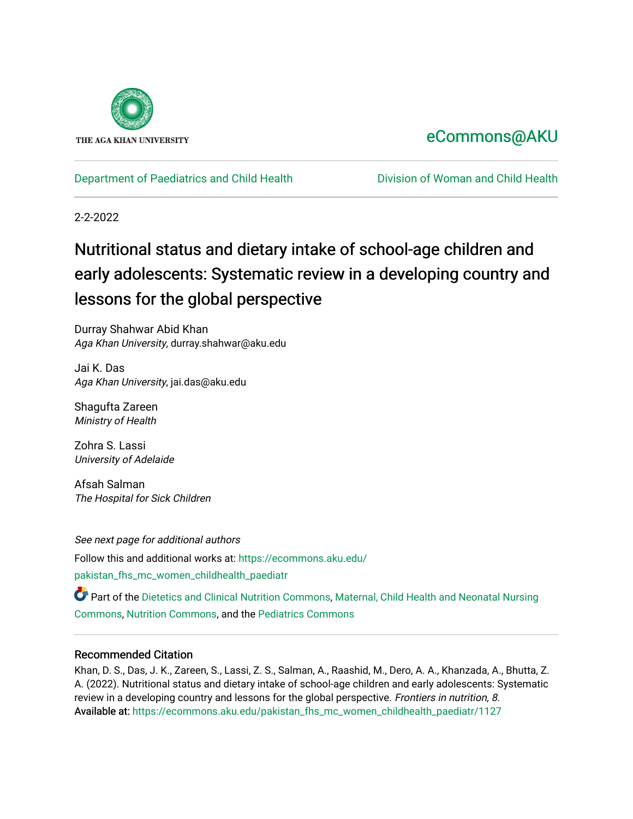

## [eCommons@AKU](https://ecommons.aku.edu/)

[Department of Paediatrics and Child Health](https://ecommons.aku.edu/pakistan_fhs_mc_women_childhealth_paediatr) **Division of Woman and Child Health** 

2-2-2022

## Nutritional status and dietary intake of school-age children and early adolescents: Systematic review in a developing country and lessons for the global perspective

Durray Shahwar Abid Khan Aga Khan University, durray.shahwar@aku.edu

Jai K. Das Aga Khan University, jai.das@aku.edu

Shagufta Zareen Ministry of Health

Zohra S. Lassi University of Adelaide

Afsah Salman The Hospital for Sick Children

See next page for additional authors Follow this and additional works at: [https://ecommons.aku.edu/](https://ecommons.aku.edu/pakistan_fhs_mc_women_childhealth_paediatr?utm_source=ecommons.aku.edu%2Fpakistan_fhs_mc_women_childhealth_paediatr%2F1127&utm_medium=PDF&utm_campaign=PDFCoverPages) [pakistan\\_fhs\\_mc\\_women\\_childhealth\\_paediatr](https://ecommons.aku.edu/pakistan_fhs_mc_women_childhealth_paediatr?utm_source=ecommons.aku.edu%2Fpakistan_fhs_mc_women_childhealth_paediatr%2F1127&utm_medium=PDF&utm_campaign=PDFCoverPages) 

Part of the [Dietetics and Clinical Nutrition Commons,](http://network.bepress.com/hgg/discipline/662?utm_source=ecommons.aku.edu%2Fpakistan_fhs_mc_women_childhealth_paediatr%2F1127&utm_medium=PDF&utm_campaign=PDFCoverPages) [Maternal, Child Health and Neonatal Nursing](http://network.bepress.com/hgg/discipline/721?utm_source=ecommons.aku.edu%2Fpakistan_fhs_mc_women_childhealth_paediatr%2F1127&utm_medium=PDF&utm_campaign=PDFCoverPages) [Commons](http://network.bepress.com/hgg/discipline/721?utm_source=ecommons.aku.edu%2Fpakistan_fhs_mc_women_childhealth_paediatr%2F1127&utm_medium=PDF&utm_campaign=PDFCoverPages), [Nutrition Commons,](http://network.bepress.com/hgg/discipline/95?utm_source=ecommons.aku.edu%2Fpakistan_fhs_mc_women_childhealth_paediatr%2F1127&utm_medium=PDF&utm_campaign=PDFCoverPages) and the [Pediatrics Commons](http://network.bepress.com/hgg/discipline/700?utm_source=ecommons.aku.edu%2Fpakistan_fhs_mc_women_childhealth_paediatr%2F1127&utm_medium=PDF&utm_campaign=PDFCoverPages) 

#### Recommended Citation

Khan, D. S., Das, J. K., Zareen, S., Lassi, Z. S., Salman, A., Raashid, M., Dero, A. A., Khanzada, A., Bhutta, Z. A. (2022). Nutritional status and dietary intake of school-age children and early adolescents: Systematic review in a developing country and lessons for the global perspective. Frontiers in nutrition, 8. Available at: [https://ecommons.aku.edu/pakistan\\_fhs\\_mc\\_women\\_childhealth\\_paediatr/1127](https://ecommons.aku.edu/pakistan_fhs_mc_women_childhealth_paediatr/1127)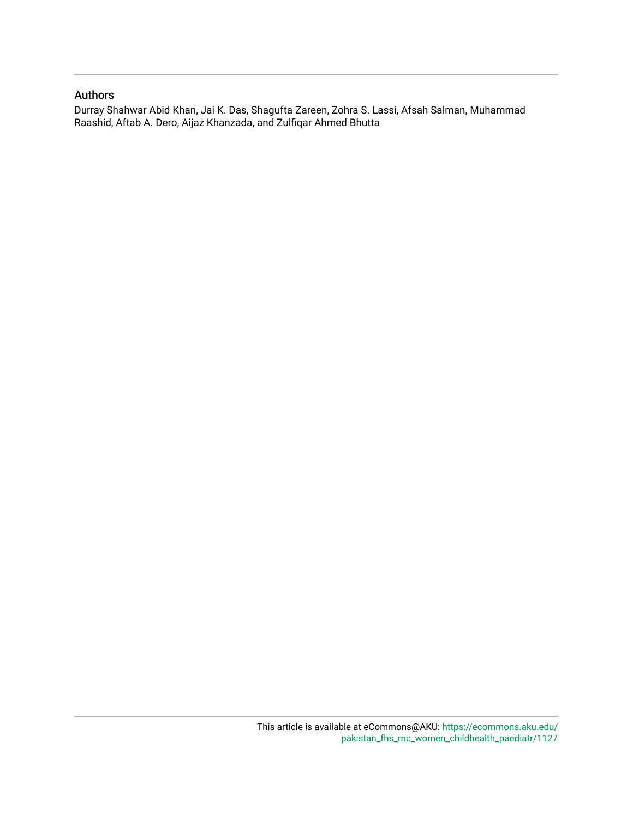#### Authors

Durray Shahwar Abid Khan, Jai K. Das, Shagufta Zareen, Zohra S. Lassi, Afsah Salman, Muhammad Raashid, Aftab A. Dero, Aijaz Khanzada, and Zulfiqar Ahmed Bhutta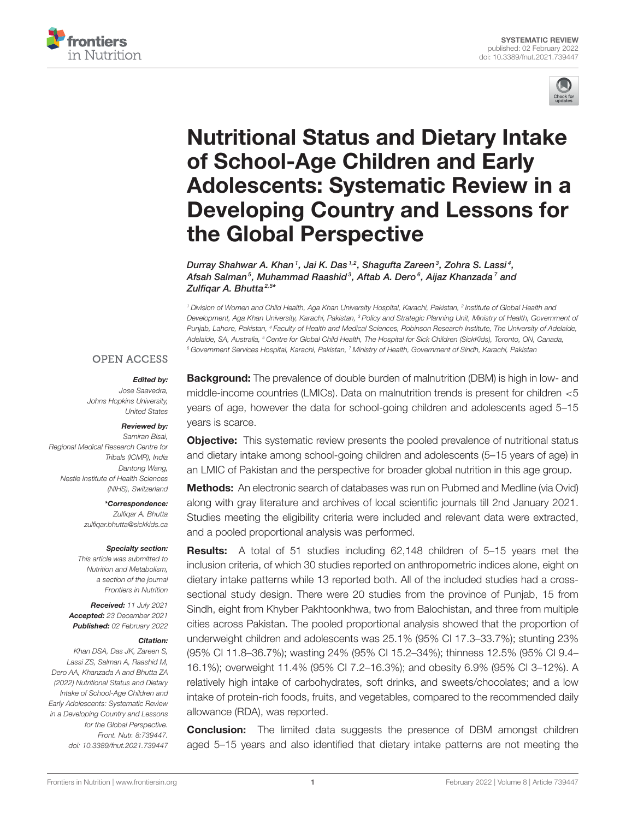



# Nutritional Status and Dietary Intake of School-Age Children and Early [Adolescents: Systematic Review in a](https://www.frontiersin.org/articles/10.3389/fnut.2021.739447/full) Developing Country and Lessons for the Global Perspective

Durray Shahwar A. Khan <sup>1</sup>, Jai K. Das <sup>1,2</sup>, Shagufta Zareen <sup>3</sup>, Zohra S. Lassi <sup>4</sup>, Afsah Salman<sup>s</sup>, Muhammad Raashid<sup>3</sup>, Aftab A. Dero<sup>s</sup>, Aijaz Khanzada<sup>7</sup> and Zulfiqar A. Bhutta<sup>2,5</sup>\*

*<sup>1</sup> Division of Women and Child Health, Aga Khan University Hospital, Karachi, Pakistan, <sup>2</sup> Institute of Global Health and Development, Aga Khan University, Karachi, Pakistan, <sup>3</sup> Policy and Strategic Planning Unit, Ministry of Health, Government of Punjab, Lahore, Pakistan, <sup>4</sup> Faculty of Health and Medical Sciences, Robinson Research Institute, The University of Adelaide, Adelaide, SA, Australia, <sup>5</sup> Centre for Global Child Health, The Hospital for Sick Children (SickKids), Toronto, ON, Canada, <sup>6</sup> Government Services Hospital, Karachi, Pakistan, <sup>7</sup> Ministry of Health, Government of Sindh, Karachi, Pakistan*

#### **OPEN ACCESS**

#### Edited by:

*Jose Saavedra, Johns Hopkins University, United States*

#### Reviewed by:

*Samiran Bisai, Regional Medical Research Centre for Tribals (ICMR), India Dantong Wang, Nestle Institute of Health Sciences (NIHS), Switzerland*

> \*Correspondence: *Zulfiqar A. Bhutta*

*[zulfiqar.bhutta@sickkids.ca](mailto:zulfiqar.bhutta@sickkids.ca)*

#### Specialty section:

*This article was submitted to Nutrition and Metabolism, a section of the journal Frontiers in Nutrition*

Received: *11 July 2021* Accepted: *23 December 2021* Published: *02 February 2022*

#### Citation:

*Khan DSA, Das JK, Zareen S, Lassi ZS, Salman A, Raashid M, Dero AA, Khanzada A and Bhutta ZA (2022) Nutritional Status and Dietary Intake of School-Age Children and Early Adolescents: Systematic Review in a Developing Country and Lessons for the Global Perspective. Front. Nutr. 8:739447. doi: [10.3389/fnut.2021.739447](https://doi.org/10.3389/fnut.2021.739447)*

**Background:** The prevalence of double burden of malnutrition (DBM) is high in low- and middle-income countries (LMICs). Data on malnutrition trends is present for children <5 years of age, however the data for school-going children and adolescents aged 5–15 years is scarce.

**Objective:** This systematic review presents the pooled prevalence of nutritional status and dietary intake among school-going children and adolescents (5–15 years of age) in an LMIC of Pakistan and the perspective for broader global nutrition in this age group.

**Methods:** An electronic search of databases was run on Pubmed and Medline (via Ovid) along with gray literature and archives of local scientific journals till 2nd January 2021. Studies meeting the eligibility criteria were included and relevant data were extracted, and a pooled proportional analysis was performed.

**Results:** A total of 51 studies including 62,148 children of 5–15 years met the inclusion criteria, of which 30 studies reported on anthropometric indices alone, eight on dietary intake patterns while 13 reported both. All of the included studies had a crosssectional study design. There were 20 studies from the province of Punjab, 15 from Sindh, eight from Khyber Pakhtoonkhwa, two from Balochistan, and three from multiple cities across Pakistan. The pooled proportional analysis showed that the proportion of underweight children and adolescents was 25.1% (95% CI 17.3–33.7%); stunting 23% (95% CI 11.8–36.7%); wasting 24% (95% CI 15.2–34%); thinness 12.5% (95% CI 9.4– 16.1%); overweight 11.4% (95% CI 7.2–16.3%); and obesity 6.9% (95% CI 3–12%). A relatively high intake of carbohydrates, soft drinks, and sweets/chocolates; and a low intake of protein-rich foods, fruits, and vegetables, compared to the recommended daily allowance (RDA), was reported.

**Conclusion:** The limited data suggests the presence of DBM amongst children aged 5–15 years and also identified that dietary intake patterns are not meeting the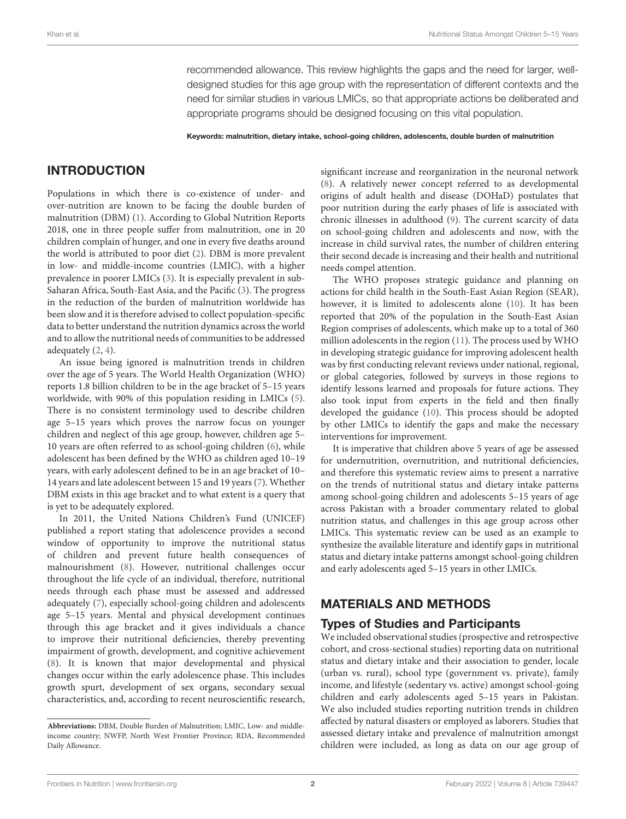recommended allowance. This review highlights the gaps and the need for larger, welldesigned studies for this age group with the representation of different contexts and the need for similar studies in various LMICs, so that appropriate actions be deliberated and appropriate programs should be designed focusing on this vital population.

Keywords: malnutrition, dietary intake, school-going children, adolescents, double burden of malnutrition

#### INTRODUCTION

Populations in which there is co-existence of under- and over-nutrition are known to be facing the double burden of malnutrition (DBM) [\(1\)](#page-17-0). According to Global Nutrition Reports 2018, one in three people suffer from malnutrition, one in 20 children complain of hunger, and one in every five deaths around the world is attributed to poor diet [\(2\)](#page-17-1). DBM is more prevalent in low- and middle-income countries (LMIC), with a higher prevalence in poorer LMICs [\(3\)](#page-17-2). It is especially prevalent in sub-Saharan Africa, South-East Asia, and the Pacific [\(3\)](#page-17-2). The progress in the reduction of the burden of malnutrition worldwide has been slow and it is therefore advised to collect population-specific data to better understand the nutrition dynamics across the world and to allow the nutritional needs of communities to be addressed adequately [\(2,](#page-17-1) [4\)](#page-17-3).

An issue being ignored is malnutrition trends in children over the age of 5 years. The World Health Organization (WHO) reports 1.8 billion children to be in the age bracket of 5–15 years worldwide, with 90% of this population residing in LMICs [\(5\)](#page-17-4). There is no consistent terminology used to describe children age 5–15 years which proves the narrow focus on younger children and neglect of this age group, however, children age 5– 10 years are often referred to as school-going children [\(6\)](#page-17-5), while adolescent has been defined by the WHO as children aged 10–19 years, with early adolescent defined to be in an age bracket of 10– 14 years and late adolescent between 15 and 19 years [\(7\)](#page-17-6). Whether DBM exists in this age bracket and to what extent is a query that is yet to be adequately explored.

In 2011, the United Nations Children's Fund (UNICEF) published a report stating that adolescence provides a second window of opportunity to improve the nutritional status of children and prevent future health consequences of malnourishment [\(8\)](#page-17-7). However, nutritional challenges occur throughout the life cycle of an individual, therefore, nutritional needs through each phase must be assessed and addressed adequately [\(7\)](#page-17-6), especially school-going children and adolescents age 5–15 years. Mental and physical development continues through this age bracket and it gives individuals a chance to improve their nutritional deficiencies, thereby preventing impairment of growth, development, and cognitive achievement [\(8\)](#page-17-7). It is known that major developmental and physical changes occur within the early adolescence phase. This includes growth spurt, development of sex organs, secondary sexual characteristics, and, according to recent neuroscientific research, significant increase and reorganization in the neuronal network [\(8\)](#page-17-7). A relatively newer concept referred to as developmental origins of adult health and disease (DOHaD) postulates that poor nutrition during the early phases of life is associated with chronic illnesses in adulthood [\(9\)](#page-17-8). The current scarcity of data on school-going children and adolescents and now, with the increase in child survival rates, the number of children entering their second decade is increasing and their health and nutritional needs compel attention.

The WHO proposes strategic guidance and planning on actions for child health in the South-East Asian Region (SEAR), however, it is limited to adolescents alone [\(10\)](#page-17-9). It has been reported that 20% of the population in the South-East Asian Region comprises of adolescents, which make up to a total of 360 million adolescents in the region [\(11\)](#page-17-10). The process used by WHO in developing strategic guidance for improving adolescent health was by first conducting relevant reviews under national, regional, or global categories, followed by surveys in those regions to identify lessons learned and proposals for future actions. They also took input from experts in the field and then finally developed the guidance [\(10\)](#page-17-9). This process should be adopted by other LMICs to identify the gaps and make the necessary interventions for improvement.

It is imperative that children above 5 years of age be assessed for undernutrition, overnutrition, and nutritional deficiencies, and therefore this systematic review aims to present a narrative on the trends of nutritional status and dietary intake patterns among school-going children and adolescents 5–15 years of age across Pakistan with a broader commentary related to global nutrition status, and challenges in this age group across other LMICs. This systematic review can be used as an example to synthesize the available literature and identify gaps in nutritional status and dietary intake patterns amongst school-going children and early adolescents aged 5–15 years in other LMICs.

### MATERIALS AND METHODS

### Types of Studies and Participants

We included observational studies (prospective and retrospective cohort, and cross-sectional studies) reporting data on nutritional status and dietary intake and their association to gender, locale (urban vs. rural), school type (government vs. private), family income, and lifestyle (sedentary vs. active) amongst school-going children and early adolescents aged 5–15 years in Pakistan. We also included studies reporting nutrition trends in children affected by natural disasters or employed as laborers. Studies that assessed dietary intake and prevalence of malnutrition amongst children were included, as long as data on our age group of

**Abbreviations:** DBM, Double Burden of Malnutrition; LMIC, Low- and middleincome country; NWFP, North West Frontier Province; RDA, Recommended Daily Allowance.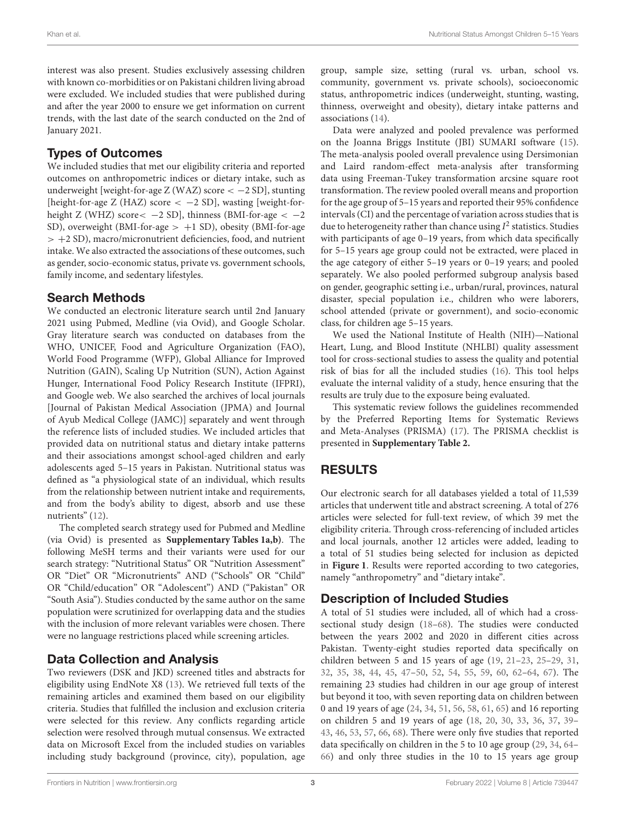interest was also present. Studies exclusively assessing children with known co-morbidities or on Pakistani children living abroad were excluded. We included studies that were published during and after the year 2000 to ensure we get information on current trends, with the last date of the search conducted on the 2nd of January 2021.

#### Types of Outcomes

We included studies that met our eligibility criteria and reported outcomes on anthropometric indices or dietary intake, such as underweight [weight-for-age  $Z$  (WAZ) score  $<-2$  SD], stunting [height-for-age Z (HAZ) score  $<-2$  SD], wasting [weight-forheight Z (WHZ) score<  $-2$  SD], thinness (BMI-for-age  $<-2$ SD), overweight (BMI-for-age > +1 SD), obesity (BMI-for-age  $> +2$  SD), macro/micronutrient deficiencies, food, and nutrient intake. We also extracted the associations of these outcomes, such as gender, socio-economic status, private vs. government schools, family income, and sedentary lifestyles.

#### Search Methods

We conducted an electronic literature search until 2nd January 2021 using Pubmed, Medline (via Ovid), and Google Scholar. Gray literature search was conducted on databases from the WHO, UNICEF, Food and Agriculture Organization (FAO), World Food Programme (WFP), Global Alliance for Improved Nutrition (GAIN), Scaling Up Nutrition (SUN), Action Against Hunger, International Food Policy Research Institute (IFPRI), and Google web. We also searched the archives of local journals [Journal of Pakistan Medical Association (JPMA) and Journal of Ayub Medical College (JAMC)] separately and went through the reference lists of included studies. We included articles that provided data on nutritional status and dietary intake patterns and their associations amongst school-aged children and early adolescents aged 5–15 years in Pakistan. Nutritional status was defined as "a physiological state of an individual, which results from the relationship between nutrient intake and requirements, and from the body's ability to digest, absorb and use these nutrients" [\(12\)](#page-17-11).

The completed search strategy used for Pubmed and Medline (via Ovid) is presented as **[Supplementary Tables 1a,b\)](#page-16-0)**. The following MeSH terms and their variants were used for our search strategy: "Nutritional Status" OR "Nutrition Assessment" OR "Diet" OR "Micronutrients" AND ("Schools" OR "Child" OR "Child/education" OR "Adolescent") AND ("Pakistan" OR "South Asia"). Studies conducted by the same author on the same population were scrutinized for overlapping data and the studies with the inclusion of more relevant variables were chosen. There were no language restrictions placed while screening articles.

### Data Collection and Analysis

Two reviewers (DSK and JKD) screened titles and abstracts for eligibility using EndNote X8 [\(13\)](#page-17-12). We retrieved full texts of the remaining articles and examined them based on our eligibility criteria. Studies that fulfilled the inclusion and exclusion criteria were selected for this review. Any conflicts regarding article selection were resolved through mutual consensus. We extracted data on Microsoft Excel from the included studies on variables including study background (province, city), population, age group, sample size, setting (rural vs. urban, school vs. community, government vs. private schools), socioeconomic status, anthropometric indices (underweight, stunting, wasting, thinness, overweight and obesity), dietary intake patterns and associations [\(14\)](#page-17-13).

Data were analyzed and pooled prevalence was performed on the Joanna Briggs Institute (JBI) SUMARI software [\(15\)](#page-17-14). The meta-analysis pooled overall prevalence using Dersimonian and Laird random-effect meta-analysis after transforming data using Freeman-Tukey transformation arcsine square root transformation. The review pooled overall means and proportion for the age group of 5–15 years and reported their 95% confidence intervals (CI) and the percentage of variation across studies that is due to heterogeneity rather than chance using  $I^2$  statistics. Studies with participants of age 0–19 years, from which data specifically for 5–15 years age group could not be extracted, were placed in the age category of either 5–19 years or 0–19 years; and pooled separately. We also pooled performed subgroup analysis based on gender, geographic setting i.e., urban/rural, provinces, natural disaster, special population i.e., children who were laborers, school attended (private or government), and socio-economic class, for children age 5–15 years.

We used the National Institute of Health (NIH)—National Heart, Lung, and Blood Institute (NHLBI) quality assessment tool for cross-sectional studies to assess the quality and potential risk of bias for all the included studies [\(16\)](#page-17-15). This tool helps evaluate the internal validity of a study, hence ensuring that the results are truly due to the exposure being evaluated.

This systematic review follows the guidelines recommended by the Preferred Reporting Items for Systematic Reviews and Meta-Analyses (PRISMA) [\(17\)](#page-17-16). The PRISMA checklist is presented in **[Supplementary Table 2.](#page-16-0)**

## RESULTS

Our electronic search for all databases yielded a total of 11,539 articles that underwent title and abstract screening. A total of 276 articles were selected for full-text review, of which 39 met the eligibility criteria. Through cross-referencing of included articles and local journals, another 12 articles were added, leading to a total of 51 studies being selected for inclusion as depicted in **[Figure 1](#page-5-0)**. Results were reported according to two categories, namely "anthropometry" and "dietary intake".

### Description of Included Studies

A total of 51 studies were included, all of which had a crosssectional study design [\(18–](#page-17-17)[68\)](#page-18-0). The studies were conducted between the years 2002 and 2020 in different cities across Pakistan. Twenty-eight studies reported data specifically on children between 5 and 15 years of age [\(19,](#page-17-18) [21–](#page-17-19)[23,](#page-17-20) [25](#page-17-21)[–29,](#page-17-22) [31,](#page-17-23) [32,](#page-17-24) [35,](#page-17-25) [38,](#page-18-1) [44,](#page-18-2) [45,](#page-18-3) [47–](#page-18-4)[50,](#page-18-5) [52,](#page-18-6) [54,](#page-18-7) [55,](#page-18-8) [59,](#page-18-9) [60,](#page-18-10) [62–](#page-18-11)[64,](#page-18-12) [67\)](#page-18-13). The remaining 23 studies had children in our age group of interest but beyond it too, with seven reporting data on children between 0 and 19 years of age [\(24,](#page-17-26) [34,](#page-17-27) [51,](#page-18-14) [56,](#page-18-15) [58,](#page-18-16) [61,](#page-18-17) [65\)](#page-18-18) and 16 reporting on children 5 and 19 years of age [\(18,](#page-17-17) [20,](#page-17-28) [30,](#page-17-29) [33,](#page-17-30) [36,](#page-17-31) [37,](#page-18-19) [39–](#page-18-20) [43,](#page-18-21) [46,](#page-18-22) [53,](#page-18-23) [57,](#page-18-24) [66,](#page-18-25) [68\)](#page-18-0). There were only five studies that reported data specifically on children in the 5 to 10 age group [\(29,](#page-17-22) [34,](#page-17-27) [64–](#page-18-12) [66\)](#page-18-25) and only three studies in the 10 to 15 years age group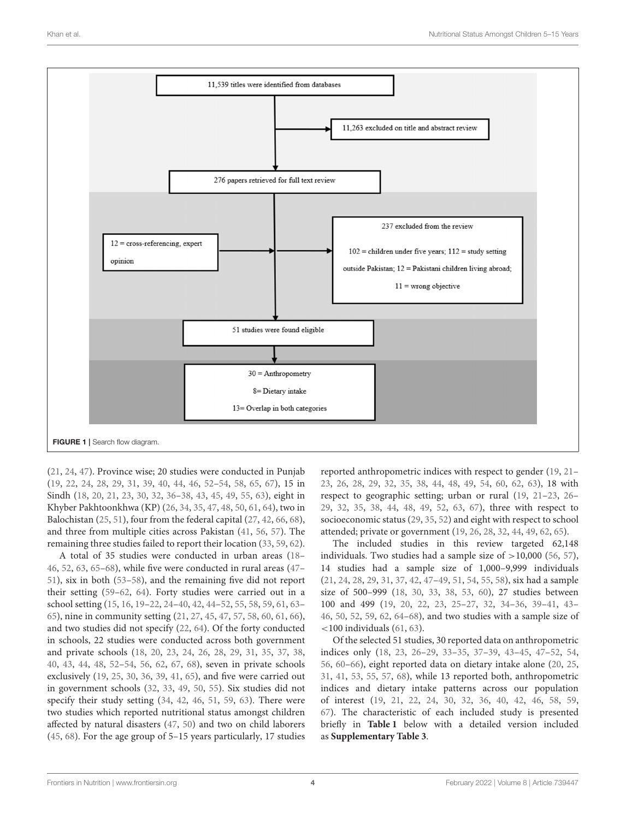

<span id="page-5-0"></span>[\(21,](#page-17-19) [24,](#page-17-26) [47\)](#page-18-4). Province wise; 20 studies were conducted in Punjab [\(19,](#page-17-18) [22,](#page-17-32) [24,](#page-17-26) [28,](#page-17-33) [29,](#page-17-22) [31,](#page-17-23) [39,](#page-18-20) [40,](#page-18-26) [44,](#page-18-2) [46,](#page-18-22) [52](#page-18-6)[–54,](#page-18-7) [58,](#page-18-16) [65,](#page-18-18) [67\)](#page-18-13), 15 in Sindh [\(18,](#page-17-17) [20,](#page-17-28) [21,](#page-17-19) [23,](#page-17-20) [30,](#page-17-29) [32,](#page-17-24) [36](#page-17-31)[–38,](#page-18-1) [43,](#page-18-21) [45,](#page-18-3) [49,](#page-18-27) [55,](#page-18-8) [63\)](#page-18-28), eight in Khyber Pakhtoonkhwa (KP) [\(26,](#page-17-34) [34,](#page-17-27) [35,](#page-17-25) [47,](#page-18-4) [48,](#page-18-29) [50,](#page-18-5) [61,](#page-18-17) [64\)](#page-18-12), two in Balochistan [\(25,](#page-17-21) [51\)](#page-18-14), four from the federal capital [\(27,](#page-17-35) [42,](#page-18-30) [66,](#page-18-25) [68\)](#page-18-0), and three from multiple cities across Pakistan [\(41,](#page-18-31) [56,](#page-18-15) [57\)](#page-18-24). The remaining three studies failed to report their location [\(33,](#page-17-30) [59,](#page-18-9) [62\)](#page-18-11).

A total of 35 studies were conducted in urban areas [\(18–](#page-17-17) [46,](#page-18-22) [52,](#page-18-6) [63,](#page-18-28) [65](#page-18-18)[–68\)](#page-18-0), while five were conducted in rural areas [\(47–](#page-18-4) [51\)](#page-18-14), six in both [\(53](#page-18-23)[–58\)](#page-18-16), and the remaining five did not report their setting [\(59](#page-18-9)[–62,](#page-18-11) [64\)](#page-18-12). Forty studies were carried out in a school setting [\(15,](#page-17-14) [16,](#page-17-15) [19](#page-17-18)[–22,](#page-17-32) [24–](#page-17-26)[40,](#page-18-26) [42,](#page-18-30) [44](#page-18-2)[–52,](#page-18-6) [55,](#page-18-8) [58,](#page-18-16) [59,](#page-18-9) [61,](#page-18-17) [63–](#page-18-28) [65\)](#page-18-18), nine in community setting [\(21,](#page-17-19) [27,](#page-17-35) [45,](#page-18-3) [47,](#page-18-4) [57,](#page-18-24) [58,](#page-18-16) [60,](#page-18-10) [61,](#page-18-17) [66\)](#page-18-25), and two studies did not specify [\(22,](#page-17-32) [64\)](#page-18-12). Of the forty conducted in schools, 22 studies were conducted across both government and private schools [\(18,](#page-17-17) [20,](#page-17-28) [23,](#page-17-20) [24,](#page-17-26) [26,](#page-17-34) [28,](#page-17-33) [29,](#page-17-22) [31,](#page-17-23) [35,](#page-17-25) [37,](#page-18-19) [38,](#page-18-1) [40,](#page-18-26) [43,](#page-18-21) [44,](#page-18-2) [48,](#page-18-29) [52](#page-18-6)[–54,](#page-18-7) [56,](#page-18-15) [62,](#page-18-11) [67,](#page-18-13) [68\)](#page-18-0), seven in private schools exclusively [\(19,](#page-17-18) [25,](#page-17-21) [30,](#page-17-29) [36,](#page-17-31) [39,](#page-18-20) [41,](#page-18-31) [65\)](#page-18-18), and five were carried out in government schools [\(32,](#page-17-24) [33,](#page-17-30) [49,](#page-18-27) [50,](#page-18-5) [55\)](#page-18-8). Six studies did not specify their study setting [\(34,](#page-17-27) [42,](#page-18-30) [46,](#page-18-22) [51,](#page-18-14) [59,](#page-18-9) [63\)](#page-18-28). There were two studies which reported nutritional status amongst children affected by natural disasters [\(47,](#page-18-4) [50\)](#page-18-5) and two on child laborers [\(45,](#page-18-3) [68\)](#page-18-0). For the age group of 5–15 years particularly, 17 studies reported anthropometric indices with respect to gender [\(19,](#page-17-18) [21–](#page-17-19) [23,](#page-17-20) [26,](#page-17-34) [28,](#page-17-33) [29,](#page-17-22) [32,](#page-17-24) [35,](#page-17-25) [38,](#page-18-1) [44,](#page-18-2) [48,](#page-18-29) [49,](#page-18-27) [54,](#page-18-7) [60,](#page-18-10) [62,](#page-18-11) [63\)](#page-18-28), 18 with respect to geographic setting; urban or rural [\(19,](#page-17-18) [21](#page-17-19)[–23,](#page-17-20) [26–](#page-17-34) [29,](#page-17-22) [32,](#page-17-24) [35,](#page-17-25) [38,](#page-18-1) [44,](#page-18-2) [48,](#page-18-29) [49,](#page-18-27) [52,](#page-18-6) [63,](#page-18-28) [67\)](#page-18-13), three with respect to socioeconomic status [\(29,](#page-17-22) [35,](#page-17-25) [52\)](#page-18-6) and eight with respect to school attended; private or government [\(19,](#page-17-18) [26,](#page-17-34) [28,](#page-17-33) [32,](#page-17-24) [44,](#page-18-2) [49,](#page-18-27) [62,](#page-18-11) [65\)](#page-18-18).

The included studies in this review targeted 62,148 individuals. Two studies had a sample size of >10,000 [\(56,](#page-18-15) [57\)](#page-18-24), 14 studies had a sample size of 1,000–9,999 individuals [\(21,](#page-17-19) [24,](#page-17-26) [28,](#page-17-33) [29,](#page-17-22) [31,](#page-17-23) [37,](#page-18-19) [42,](#page-18-30) [47](#page-18-4)[–49,](#page-18-27) [51,](#page-18-14) [54,](#page-18-7) [55,](#page-18-8) [58\)](#page-18-16), six had a sample size of 500–999 [\(18,](#page-17-17) [30,](#page-17-29) [33,](#page-17-30) [38,](#page-18-1) [53,](#page-18-23) [60\)](#page-18-10), 27 studies between 100 and 499 [\(19,](#page-17-18) [20,](#page-17-28) [22,](#page-17-32) [23,](#page-17-20) [25–](#page-17-21)[27,](#page-17-35) [32,](#page-17-24) [34](#page-17-27)[–36,](#page-17-31) [39](#page-18-20)[–41,](#page-18-31) [43–](#page-18-21) [46,](#page-18-22) [50,](#page-18-5) [52,](#page-18-6) [59,](#page-18-9) [62,](#page-18-11) [64](#page-18-12)[–68\)](#page-18-0), and two studies with a sample size of  $<$ 100 individuals [\(61,](#page-18-17) [63\)](#page-18-28).

Of the selected 51 studies, 30 reported data on anthropometric indices only [\(18,](#page-17-17) [23,](#page-17-20) [26–](#page-17-34)[29,](#page-17-22) [33](#page-17-30)[–35,](#page-17-25) [37–](#page-18-19)[39,](#page-18-20) [43](#page-18-21)[–45,](#page-18-3) [47–](#page-18-4)[52,](#page-18-6) [54,](#page-18-7) [56,](#page-18-15) [60](#page-18-10)[–66\)](#page-18-25), eight reported data on dietary intake alone [\(20,](#page-17-28) [25,](#page-17-21) [31,](#page-17-23) [41,](#page-18-31) [53,](#page-18-23) [55,](#page-18-8) [57,](#page-18-24) [68\)](#page-18-0), while 13 reported both, anthropometric indices and dietary intake patterns across our population of interest [\(19,](#page-17-18) [21,](#page-17-19) [22,](#page-17-32) [24,](#page-17-26) [30,](#page-17-29) [32,](#page-17-24) [36,](#page-17-31) [40,](#page-18-26) [42,](#page-18-30) [46,](#page-18-22) [58,](#page-18-16) [59,](#page-18-9) [67\)](#page-18-13). The characteristic of each included study is presented briefly in **[Table 1](#page-6-0)** below with a detailed version included as **[Supplementary Table 3](#page-16-0)**.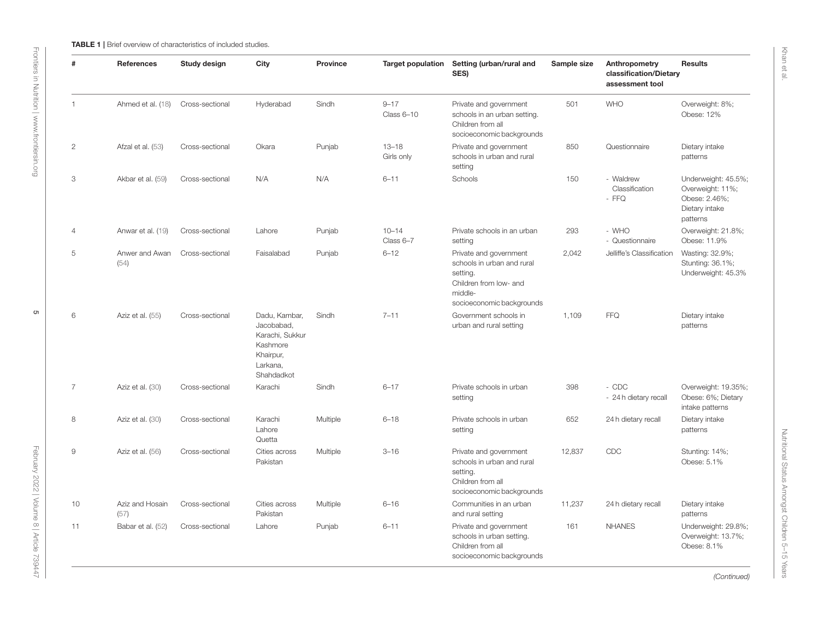| <b>ABLE 1</b>   Brief overview of characteristics of included studie |
|----------------------------------------------------------------------|
|----------------------------------------------------------------------|

| #              | References              | Study design    | City                                                                                              | Province | <b>Target population</b> | Setting (urban/rural and<br>SES)                                                                                                    | Sample size                        | Anthropometry<br>classification/Dietary<br>assessment tool | <b>Results</b>                                                                         |
|----------------|-------------------------|-----------------|---------------------------------------------------------------------------------------------------|----------|--------------------------|-------------------------------------------------------------------------------------------------------------------------------------|------------------------------------|------------------------------------------------------------|----------------------------------------------------------------------------------------|
| $\overline{1}$ | Ahmed et al. (18)       | Cross-sectional | Hyderabad                                                                                         | Sindh    | $9 - 17$<br>Class 6-10   | Private and government<br>schools in an urban setting.<br>Children from all<br>socioeconomic backgrounds                            | 501                                | <b>WHO</b>                                                 | Overweight: 8%;<br>Obese: 12%                                                          |
| $\overline{2}$ | Afzal et al. (53)       | Cross-sectional | Okara                                                                                             | Punjab   | $13 - 18$<br>Girls only  | Private and government<br>schools in urban and rural<br>setting                                                                     | 850                                | Questionnaire                                              | Dietary intake<br>patterns                                                             |
| 3              | Akbar et al. (59)       | Cross-sectional | N/A                                                                                               | N/A      | $6 - 11$                 | Schools                                                                                                                             | 150                                | - Waldrew<br>Classification<br>- FFQ                       | Underweight: 45.5%;<br>Overweight: 11%;<br>Obese: 2.46%;<br>Dietary intake<br>patterns |
| $\overline{4}$ | Anwar et al. (19)       | Cross-sectional | Lahore                                                                                            | Punjab   | $10 - 14$<br>Class 6-7   | Private schools in an urban<br>setting                                                                                              | 293                                | - WHO<br>- Questionnaire                                   | Overweight: 21.8%;<br>Obese: 11.9%                                                     |
| 5              | Anwer and Awan<br>(54)  | Cross-sectional | Faisalabad                                                                                        | Punjab   | $6 - 12$                 | Private and government<br>schools in urban and rural<br>setting.<br>Children from low- and<br>middle-<br>socioeconomic backgrounds  | 2,042<br>Jelliffe's Classification |                                                            | Wasting: 32.9%;<br>Stunting: 36.1%;<br>Underweight: 45.3%                              |
| 6              | Aziz et al. (55)        | Cross-sectional | Dadu, Kambar,<br>Jacobabad,<br>Karachi, Sukkur<br>Kashmore<br>Khairpur,<br>Larkana,<br>Shahdadkot | Sindh    | $7 - 11$                 | Government schools in<br>urban and rural setting                                                                                    | 1,109                              | <b>FFQ</b>                                                 | Dietary intake<br>patterns                                                             |
| $\overline{7}$ | Aziz et al. (30)        | Cross-sectional | Karachi                                                                                           | Sindh    | $6 - 17$                 | Private schools in urban<br>setting                                                                                                 | 398                                | - CDC<br>- 24 h dietary recall                             | Overweight: 19.35%;<br>Obese: 6%; Dietary<br>intake patterns                           |
| 8              | Aziz et al. (30)        | Cross-sectional | Karachi<br>Lahore<br>Quetta                                                                       | Multiple | $6 - 18$                 | Private schools in urban<br>setting                                                                                                 | 652                                | 24 h dietary recall                                        | Dietary intake<br>patterns                                                             |
| 9              | Aziz et al. (56)        | Cross-sectional | Cities across<br>Pakistan                                                                         | Multiple | $3 - 16$                 | CDC<br>Private and government<br>12,837<br>schools in urban and rural<br>setting.<br>Children from all<br>socioeconomic backgrounds |                                    | Stunting: 14%;<br>Obese: 5.1%                              |                                                                                        |
| 10             | Aziz and Hosain<br>(57) | Cross-sectional | Cities across<br>Pakistan                                                                         | Multiple | $6 - 16$                 | Communities in an urban<br>and rural setting                                                                                        | 11,237                             | 24 h dietary recall                                        | Dietary intake<br>patterns                                                             |
| 11             | Babar et al. (52)       | Cross-sectional | Lahore                                                                                            | Punjab   | $6 - 11$                 | Private and government<br>schools in urban setting.<br>Children from all<br>socioeconomic backgrounds                               | 161                                | <b>NHANES</b>                                              | Underweight: 29.8%;<br>Overweight: 13.7%;<br>Obese: 8.1%                               |

<span id="page-6-0"></span>(Continued)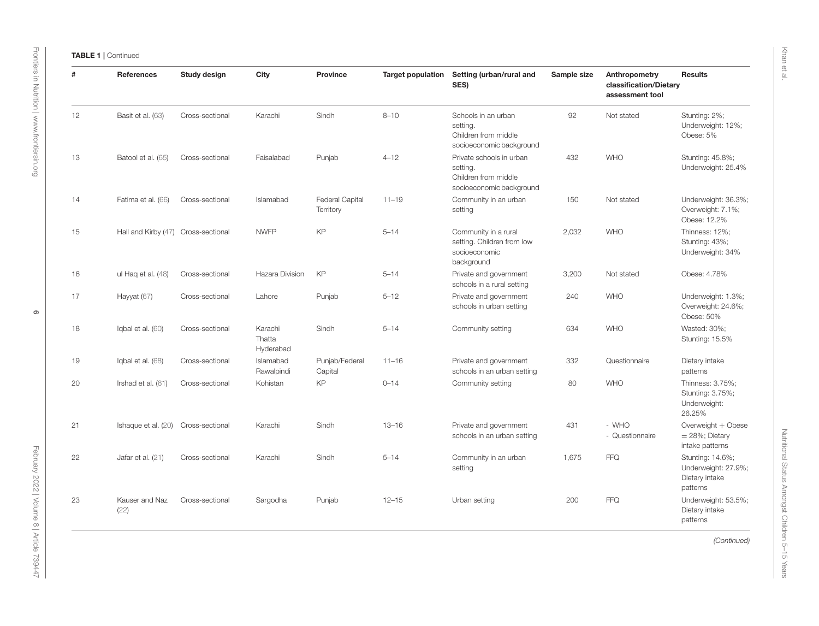| <b>TABLE 1   Continued</b> |
|----------------------------|
|                            |

| #  | <b>References</b>                   | Study design    | City                           | Province                            | <b>Target population</b> | Setting (urban/rural and<br>SES)                                                         | Sample size | Anthropometry<br>classification/Dietary<br>assessment tool | <b>Results</b>                                                        |
|----|-------------------------------------|-----------------|--------------------------------|-------------------------------------|--------------------------|------------------------------------------------------------------------------------------|-------------|------------------------------------------------------------|-----------------------------------------------------------------------|
| 12 | Basit et al. (63)                   | Cross-sectional | Karachi                        | Sindh                               | $8 - 10$                 | Schools in an urban<br>setting.<br>Children from middle<br>socioeconomic background      | 92          | Not stated                                                 | Stunting: 2%;<br>Underweight: 12%;<br>Obese: 5%                       |
| 13 | Batool et al. (65)                  | Cross-sectional | Faisalabad                     | Punjab                              | $4 - 12$                 | Private schools in urban<br>setting.<br>Children from middle<br>socioeconomic background | 432         | <b>WHO</b>                                                 | Stunting: 45.8%;<br>Underweight: 25.4%                                |
| 14 | Fatima et al. (66)                  | Cross-sectional | Islamabad                      | <b>Federal Capital</b><br>Territory | $11 - 19$                | Community in an urban<br>setting                                                         | 150         | Not stated                                                 | Underweight: 36.3%;<br>Overweight: 7.1%;<br>Obese: 12.2%              |
| 15 | Hall and Kirby (47) Cross-sectional |                 | <b>NWFP</b>                    | KP                                  | $5 - 14$                 | Community in a rural<br>setting. Children from low<br>socioeconomic<br>background        | 2,032       | <b>WHO</b>                                                 | Thinness: 12%;<br>Stunting: 43%;<br>Underweight: 34%                  |
| 16 | ul Haq et al. (48)                  | Cross-sectional | Hazara Division                | KP                                  | $5 - 14$                 | Private and government<br>schools in a rural setting                                     | 3,200       | Not stated                                                 | Obese: 4.78%                                                          |
| 17 | Hayyat (67)                         | Cross-sectional | Lahore                         | Punjab                              | $5 - 12$                 | Private and government<br>schools in urban setting                                       | 240         | <b>WHO</b>                                                 | Underweight: 1.3%;<br>Overweight: 24.6%;<br>Obese: 50%                |
| 18 | Iqbal et al. (60)                   | Cross-sectional | Karachi<br>Thatta<br>Hyderabad | Sindh                               | $5 - 14$                 | Community setting                                                                        | 634         | <b>WHO</b>                                                 | Wasted: 30%;<br>Stunting: 15.5%                                       |
| 19 | Iqbal et al. (68)                   | Cross-sectional | Islamabad<br>Rawalpindi        | Punjab/Federal<br>Capital           | $11 - 16$                | Private and government<br>schools in an urban setting                                    | 332         | Questionnaire                                              | Dietary intake<br>patterns                                            |
| 20 | Irshad et al. (61)                  | Cross-sectional | Kohistan                       | KP                                  | $0 - 14$                 | Community setting                                                                        | 80          | <b>WHO</b>                                                 | Thinness: 3.75%;<br>Stunting: 3.75%;<br>Underweight:<br>26.25%        |
| 21 | Ishaque et al. (20)                 | Cross-sectional | Karachi                        | Sindh                               | $13 - 16$                | Private and government<br>schools in an urban setting                                    | 431         | - WHO<br>- Questionnaire                                   | Overweight + Obese<br>$= 28\%$ ; Dietary<br>intake patterns           |
| 22 | Jafar et al. (21)                   | Cross-sectional | Karachi                        | Sindh                               | $5 - 14$                 | Community in an urban<br>setting                                                         | 1,675       | <b>FFQ</b>                                                 | Stunting: 14.6%;<br>Underweight: 27.9%;<br>Dietary intake<br>patterns |
| 23 | Kauser and Naz<br>(22)              | Cross-sectional | Sargodha                       | Punjab                              | $12 - 15$                | Urban setting                                                                            | 200         | <b>FFQ</b>                                                 | Underweight: 53.5%;<br>Dietary intake<br>patterns                     |
|    |                                     |                 |                                |                                     |                          |                                                                                          |             |                                                            | (Continued)                                                           |

Khan et al.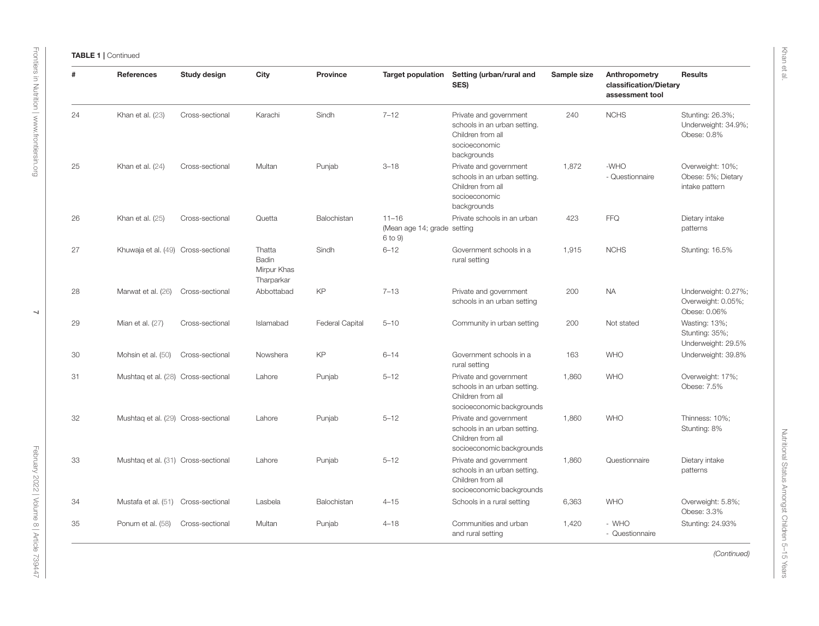|  |  | <b>TABLE 1   Continued</b> |
|--|--|----------------------------|
|--|--|----------------------------|

| #  | <b>References</b>                   | Study design    | City                                                | Province               | <b>Target population</b>                            | Setting (urban/rural and<br>SES)                                                                            | Sample size | Anthropometry<br>classification/Dietary<br>assessment tool | <b>Results</b>                                            |
|----|-------------------------------------|-----------------|-----------------------------------------------------|------------------------|-----------------------------------------------------|-------------------------------------------------------------------------------------------------------------|-------------|------------------------------------------------------------|-----------------------------------------------------------|
| 24 | Khan et al. (23)                    | Cross-sectional | Karachi                                             | Sindh                  | $7 - 12$                                            | Private and government<br>schools in an urban setting.<br>Children from all<br>socioeconomic<br>backgrounds | 240         | <b>NCHS</b>                                                | Stunting: 26.3%;<br>Underweight: 34.9%;<br>Obese: 0.8%    |
| 25 | Khan et al. (24)                    | Cross-sectional | Multan                                              | Punjab                 | $3 - 18$                                            | Private and government<br>schools in an urban setting.<br>Children from all<br>socioeconomic<br>backgrounds | 1,872       | -WHO<br>- Questionnaire                                    | Overweight: 10%;<br>Obese: 5%; Dietary<br>intake pattern  |
| 26 | Khan et al. (25)                    | Cross-sectional | Quetta                                              | Balochistan            | $11 - 16$<br>(Mean age 14; grade setting<br>6 to 9) | Private schools in an urban                                                                                 | 423         | <b>FFQ</b>                                                 | Dietary intake<br>patterns                                |
| 27 | Khuwaja et al. (49) Cross-sectional |                 | Thatta<br><b>Badin</b><br>Mirpur Khas<br>Tharparkar | Sindh                  | $6 - 12$                                            | Government schools in a<br>rural setting                                                                    | 1,915       | <b>NCHS</b>                                                | Stunting: 16.5%                                           |
| 28 | Marwat et al. (26)                  | Cross-sectional | Abbottabad                                          | KP                     | $7 - 13$                                            | Private and government<br>schools in an urban setting                                                       | 200         | <b>NA</b>                                                  | Underweight: 0.27%;<br>Overweight: 0.05%;<br>Obese: 0.06% |
| 29 | Mian et al. (27)                    | Cross-sectional | Islamabad                                           | <b>Federal Capital</b> | $5 - 10$                                            | Community in urban setting                                                                                  | 200         | Not stated                                                 | Wasting: 13%;<br>Stunting: 35%;<br>Underweight: 29.5%     |
| 30 | Mohsin et al. (50)                  | Cross-sectional | Nowshera                                            | KP                     | $6 - 14$                                            | Government schools in a<br>rural setting                                                                    | 163         | <b>WHO</b>                                                 | Underweight: 39.8%                                        |
| 31 | Mushtag et al. (28) Cross-sectional |                 | Lahore                                              | Punjab                 | $5 - 12$                                            | Private and government<br>schools in an urban setting.<br>Children from all<br>socioeconomic backgrounds    | 1,860       | <b>WHO</b>                                                 | Overweight: 17%;<br>Obese: 7.5%                           |
| 32 | Mushtag et al. (29) Cross-sectional |                 | Lahore                                              | Punjab                 | $5 - 12$                                            | Private and government<br>schools in an urban setting.<br>Children from all<br>socioeconomic backgrounds    | 1,860       | <b>WHO</b>                                                 | Thinness: 10%;<br>Stunting: 8%                            |
| 33 | Mushtag et al. (31) Cross-sectional |                 | Lahore                                              | Punjab                 | $5 - 12$                                            | Private and government<br>schools in an urban setting.<br>Children from all<br>socioeconomic backgrounds    | 1,860       | Questionnaire                                              | Dietary intake<br>patterns                                |
| 34 | Mustafa et al. (51) Cross-sectional |                 | Lasbela                                             | Balochistan            | $4 - 15$                                            | Schools in a rural setting                                                                                  | 6,363       | <b>WHO</b>                                                 | Overweight: 5.8%;<br>Obese: 3.3%                          |
| 35 | Ponum et al. (58)                   | Cross-sectional | Multan                                              | Punjab                 | $4 - 18$                                            | Communities and urban<br>and rural setting                                                                  | 1,420       | - WHO<br>- Questionnaire                                   | Stunting: 24.93%                                          |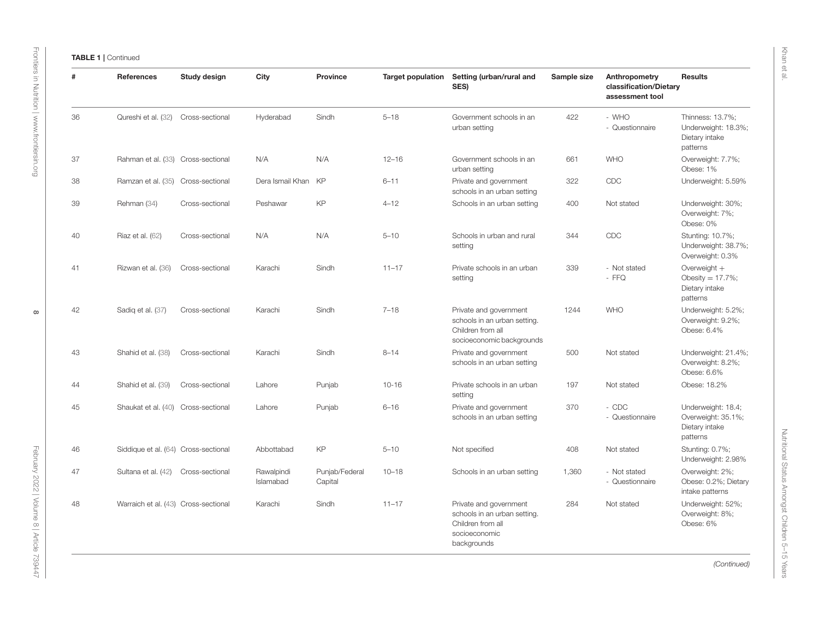| <b>TABLE 1   Continued</b> |
|----------------------------|
|                            |

| #  | <b>References</b>                    | Study design    | City                    | Province                  | <b>Target population</b> | Setting (urban/rural and<br>SES)                                                                            | Sample size | Anthropometry<br>classification/Dietary<br>assessment tool | <b>Results</b>                                                         |
|----|--------------------------------------|-----------------|-------------------------|---------------------------|--------------------------|-------------------------------------------------------------------------------------------------------------|-------------|------------------------------------------------------------|------------------------------------------------------------------------|
| 36 | Qureshi et al. (32)                  | Cross-sectional | Hyderabad               | Sindh                     | $5 - 18$                 | Government schools in an<br>urban setting                                                                   | 422         | - WHO<br>- Questionnaire                                   | Thinness: 13.7%;<br>Underweight: 18.3%;<br>Dietary intake<br>patterns  |
| 37 | Rahman et al. (33) Cross-sectional   |                 | N/A                     | N/A                       | $12 - 16$                | Government schools in an<br>urban setting                                                                   | 661         | <b>WHO</b>                                                 | Overweight: 7.7%;<br>Obese: 1%                                         |
| 38 | Ramzan et al. (35) Cross-sectional   |                 | Dera Ismail Khan        | KP                        | $6 - 11$                 | Private and government<br>schools in an urban setting                                                       | 322         | CDC                                                        | Underweight: 5.59%                                                     |
| 39 | Rehman (34)                          | Cross-sectional | Peshawar                | KP                        | $4 - 12$                 | Schools in an urban setting                                                                                 | 400         | Not stated                                                 | Underweight: 30%;<br>Overweight: 7%;<br>Obese: 0%                      |
| 40 | <b>Riaz et al. (62)</b>              | Cross-sectional | N/A                     | N/A                       | $5 - 10$                 | Schools in urban and rural<br>setting                                                                       | 344         | CDC                                                        | Stunting: 10.7%;<br>Underweight: 38.7%;<br>Overweight: 0.3%            |
| 41 | Rizwan et al. (36)                   | Cross-sectional | Karachi                 | Sindh                     | $11 - 17$                | Private schools in an urban<br>setting                                                                      | 339         | - Not stated<br>$-FFO$                                     | Overweight $+$<br>Obesity $= 17.7\%$ ;<br>Dietary intake<br>patterns   |
| 42 | Sadig et al. (37)                    | Cross-sectional | Karachi                 | Sindh                     | $7 - 18$                 | Private and government<br>schools in an urban setting.<br>Children from all<br>socioeconomic backgrounds    | 1244        | <b>WHO</b>                                                 | Underweight: 5.2%;<br>Overweight: 9.2%;<br>Obese: 6.4%                 |
| 43 | Shahid et al. (38)                   | Cross-sectional | Karachi                 | Sindh                     | $8 - 14$                 | Private and government<br>schools in an urban setting                                                       | 500         | Not stated                                                 | Underweight: 21.4%;<br>Overweight: 8.2%;<br>Obese: 6.6%                |
| 44 | Shahid et al. (39)                   | Cross-sectional | Lahore                  | Punjab                    | $10 - 16$                | Private schools in an urban<br>setting                                                                      | 197         | Not stated                                                 | Obese: 18.2%                                                           |
| 45 | Shaukat et al. (40) Cross-sectional  |                 | Lahore                  | Punjab                    | $6 - 16$                 | Private and government<br>schools in an urban setting                                                       | 370         | - CDC<br>- Questionnaire                                   | Underweight: 18.4;<br>Overweight: 35.1%;<br>Dietary intake<br>patterns |
| 46 | Siddique et al. (64) Cross-sectional |                 | Abbottabad              | KP                        | $5 - 10$                 | Not specified                                                                                               | 408         | Not stated                                                 | Stunting: 0.7%;<br>Underweight: 2.98%                                  |
| 47 | Sultana et al. (42)                  | Cross-sectional | Rawalpindi<br>Islamabad | Punjab/Federal<br>Capital | $10 - 18$                | Schools in an urban setting                                                                                 | 1,360       | - Not stated<br>- Questionnaire                            | Overweight: 2%;<br>Obese: 0.2%; Dietary<br>intake patterns             |
| 48 | Warraich et al. (43) Cross-sectional |                 | Karachi                 | Sindh                     | $11 - 17$                | Private and government<br>schools in an urban setting.<br>Children from all<br>socioeconomic<br>backgrounds | 284         | Not stated                                                 | Underweight: 52%;<br>Overweight: 8%;<br>Obese: 6%                      |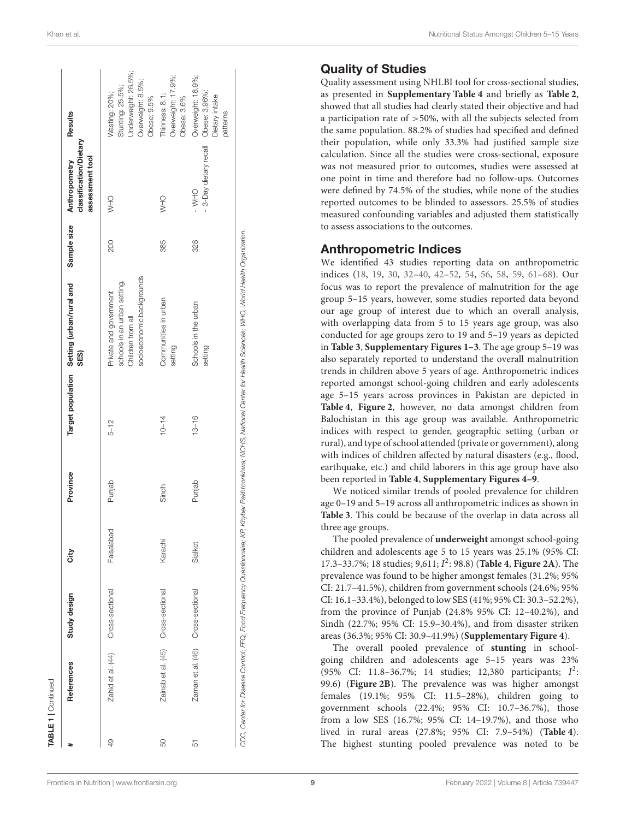#### Quality of Studies

Quality assessment using NHLBI tool for cross-sectional studies, as presented in **[Supplementary Table 4](#page-16-0)** and briefly as **[Table 2](#page-11-0)**, showed that all studies had clearly stated their objective and had a participation rate of >50%, with all the subjects selected from the same population. 88.2% of studies had specified and defined their population, while only 33.3% had justified sample size calculation. Since all the studies were cross-sectional, exposure was not measured prior to outcomes, studies were assessed at one point in time and therefore had no follow-ups. Outcomes were defined by 74.5% of the studies, while none of the studies reported outcomes to be blinded to assessors. 25.5% of studies measured confounding variables and adjusted them statistically to assess associations to the outcomes.

#### Anthropometric Indices

We identified 43 studies reporting data on anthropometric indices [\(18,](#page-17-17) [19,](#page-17-18) [30,](#page-17-29) [32](#page-17-24)[–40,](#page-18-26) [42](#page-18-30)[–52,](#page-18-6) [54,](#page-18-7) [56,](#page-18-15) [58,](#page-18-16) [59,](#page-18-9) [61](#page-18-17)[–68\)](#page-18-0). Our focus was to report the prevalence of malnutrition for the age group 5–15 years, however, some studies reported data beyond our age group of interest due to which an overall analysis, with overlapping data from 5 to 15 years age group, was also conducted for age groups zero to 19 and 5–19 years as depicted in **[Table 3](#page-11-1)**, **[Supplementary Figures 1–3](#page-16-0)**. The age group 5–19 was also separately reported to understand the overall malnutrition trends in children above 5 years of age. Anthropometric indices reported amongst school-going children and early adolescents age 5–15 years across provinces in Pakistan are depicted in **[Table 4](#page-12-0)**, **[Figure 2](#page-13-0)**, however, no data amongst children from Balochistan in this age group was available. Anthropometric indices with respect to gender, geographic setting (urban or rural), and type of school attended (private or government), along with indices of children affected by natural disasters (e.g., flood, earthquake, etc.) and child laborers in this age group have also been reported in **[Table 4](#page-12-0)**, **[Supplementary Figures 4–9](#page-16-0)**.

We noticed similar trends of pooled prevalence for children age 0–19 and 5–19 across all anthropometric indices as shown in **[Table 3](#page-11-1)**. This could be because of the overlap in data across all three age groups.

The pooled prevalence of **underweight** amongst school-going children and adolescents age 5 to 15 years was 25.1% (95% CI: 17.3–33.7%; 18 studies; 9,611; I 2 : 98.8) (**[Table 4](#page-12-0)**, **[Figure 2A](#page-13-0)**). The prevalence was found to be higher amongst females (31.2%; 95% CI: 21.7–41.5%), children from government schools (24.6%; 95% CI: 16.1–33.4%), belonged to low SES (41%; 95% CI: 30.3–52.2%), from the province of Punjab (24.8% 95% CI: 12–40.2%), and Sindh (22.7%; 95% CI: 15.9–30.4%), and from disaster striken areas (36.3%; 95% CI: 30.9–41.9%) (**[Supplementary Figure 4](#page-16-0)**).

The overall pooled prevalence of **stunting** in schoolgoing children and adolescents age 5–15 years was 23% (95% CI: 11.8-36.7%; 14 studies; 12,380 participants;  $I^2$ : 99.6) (**[Figure 2B](#page-13-0)**). The prevalence was was higher amongst females (19.1%; 95% CI: 11.5–28%), children going to government schools (22.4%; 95% CI: 10.7–36.7%), those from a low SES (16.7%; 95% CI: 14–19.7%), and those who lived in rural areas (27.8%; 95% CI: 7.9–54%) (**[Table 4](#page-12-0)**). The highest stunting pooled prevalence was noted to be

| ∗  | References                        | Study design    | Ğ                | Province |           | Target population Setting (urban/rural and<br>SES)                                                       | Sample size | classification/Dietary<br>assessment tool<br>Anthropometry | Results                                                                                     |
|----|-----------------------------------|-----------------|------------------|----------|-----------|----------------------------------------------------------------------------------------------------------|-------------|------------------------------------------------------------|---------------------------------------------------------------------------------------------|
| 49 | Zahid et al. (44) Cross-sectional |                 | labad<br>Faisala | Punjab   | $5 - 12$  | socioeconomic backgrounds<br>schools in an urban setting.<br>Private and government<br>Children from all | 200         | OHN                                                        | Underweight: 26.5%<br>Overweight: 8.5%;<br>Stunting: 25.5%;<br>Wasting: 20%;<br>Obese: 9.5% |
| 50 | Zainab et al. (45)                | Cross-sectional | Karachi          | Sindh    | $10 - 14$ | Communities in urban<br>setting                                                                          | 385         | OHN                                                        | Overweight: 17.9%;<br>Thinness: 8.1;<br>Obese: 3.6%                                         |
| 57 | Zaman et al. (46)                 | Cross-sectional | Sialko           | Punjab   | $13 - 16$ | Schools in the urban<br>setting                                                                          | 328         | 3-Day dietary recall<br>$-$ WHO                            | Overweight: 18.9%;<br>Obese: 3.96%;<br>Dietary intake<br>patterns                           |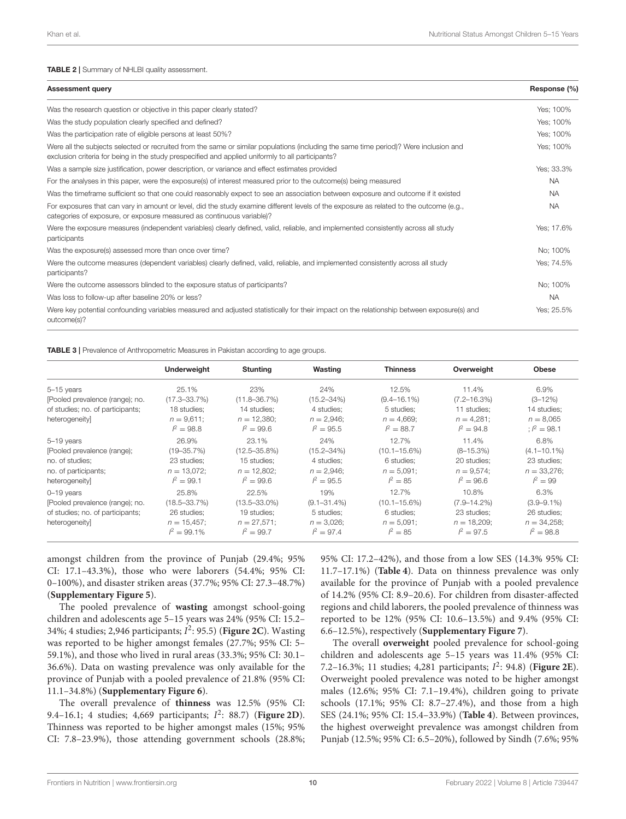<span id="page-11-0"></span>

| <b>Assessment query</b>                                                                                                                                                                                                                    | Response (%) |
|--------------------------------------------------------------------------------------------------------------------------------------------------------------------------------------------------------------------------------------------|--------------|
| Was the research question or objective in this paper clearly stated?                                                                                                                                                                       | Yes: 100%    |
| Was the study population clearly specified and defined?                                                                                                                                                                                    | Yes: 100%    |
| Was the participation rate of eligible persons at least 50%?                                                                                                                                                                               | Yes: 100%    |
| Were all the subjects selected or recruited from the same or similar populations (including the same time period)? Were inclusion and<br>exclusion criteria for being in the study prespecified and applied uniformly to all participants? | Yes; 100%    |
| Was a sample size justification, power description, or variance and effect estimates provided                                                                                                                                              | Yes; 33.3%   |
| For the analyses in this paper, were the exposure(s) of interest measured prior to the outcome(s) being measured                                                                                                                           | <b>NA</b>    |
| Was the timeframe sufficient so that one could reasonably expect to see an association between exposure and outcome if it existed                                                                                                          | <b>NA</b>    |
| For exposures that can vary in amount or level, did the study examine different levels of the exposure as related to the outcome (e.g.,<br>categories of exposure, or exposure measured as continuous variable)?                           | <b>NA</b>    |
| Were the exposure measures (independent variables) clearly defined, valid, reliable, and implemented consistently across all study<br>participants                                                                                         | Yes; 17.6%   |
| Was the exposure(s) assessed more than once over time?                                                                                                                                                                                     | No: 100%     |
| Were the outcome measures (dependent variables) clearly defined, valid, reliable, and implemented consistently across all study<br>participants?                                                                                           | Yes; 74.5%   |
| Were the outcome assessors blinded to the exposure status of participants?                                                                                                                                                                 | No: 100%     |
| Was loss to follow-up after baseline 20% or less?                                                                                                                                                                                          | <b>NA</b>    |

Were key potential confounding variables measured and adjusted statistically for their impact on the relationship between exposure(s) and outcome(s)? Yes: 25.5%

<span id="page-11-1"></span>

|                                                                                                         | <b>Underweight</b>                                                           | <b>Stunting</b>                                                             | Wasting                                                                | <b>Thinness</b>                                                        | Overweight                                                                 | <b>Obese</b>                                                             |
|---------------------------------------------------------------------------------------------------------|------------------------------------------------------------------------------|-----------------------------------------------------------------------------|------------------------------------------------------------------------|------------------------------------------------------------------------|----------------------------------------------------------------------------|--------------------------------------------------------------------------|
| 5-15 years                                                                                              | 25.1%                                                                        | 23%                                                                         | 24%                                                                    | 12.5%                                                                  | 11.4%                                                                      | 6.9%                                                                     |
| [Pooled prevalence (range); no.                                                                         | $(17.3 - 33.7%)$                                                             | $(11.8 - 36.7%)$                                                            | $(15.2 - 34\%)$                                                        | $(9.4 - 16.1\%)$                                                       | $(7.2 - 16.3%)$                                                            | $(3 - 12\%)$                                                             |
| of studies; no. of participants;                                                                        | 18 studies:                                                                  | 14 studies:                                                                 | 4 studies:                                                             | 5 studies:                                                             | 11 studies:                                                                | 14 studies:                                                              |
| heterogeneity]                                                                                          | $n = 9.611$ ;<br>$I^2 = 98.8$                                                | $n = 12.380$<br>$l^2 = 99.6$                                                | $n = 2.946$<br>$I^2 = 95.5$                                            | $n = 4.669$ :<br>$I^2 = 88.7$                                          | $n = 4.281$ :<br>$I^2 = 94.8$                                              | $n = 8,065$<br>$\frac{1}{2}$ / 2 = 98.1                                  |
| 5-19 years                                                                                              | 26.9%                                                                        | 23.1%                                                                       | 24%                                                                    | 12.7%                                                                  | 11.4%                                                                      | 6.8%                                                                     |
| [Pooled prevalence (range);                                                                             | $(19 - 35.7%)$                                                               | $(12.5 - 35.8\%)$                                                           | $(15.2 - 34\%)$                                                        | $(10.1 - 15.6%)$                                                       | $(8 - 15.3\%)$                                                             | $(4.1 - 10.1\%)$                                                         |
| no. of studies:<br>no. of participants;<br>heterogeneity]                                               | 23 studies:<br>$n = 13,072$ ;<br>$l^2 = 99.1$                                | 15 studies:<br>$n = 12.802$<br>$l^2 = 99.6$                                 | 4 studies:<br>$n = 2,946$ ;<br>$l^2 = 95.5$                            | 6 studies:<br>$n = 5.091$ ;<br>$l^2 = 85$                              | 20 studies:<br>$n = 9.574$ ;<br>$l^2 = 96.6$                               | 23 studies:<br>$n = 33,276$ ;<br>$l^2 = 99$                              |
| $0 - 19$ years<br>[Pooled prevalence (range); no.<br>of studies; no. of participants;<br>heterogeneity] | 25.8%<br>$(18.5 - 33.7%)$<br>26 studies;<br>$n = 15,457$ ;<br>$l^2 = 99.1\%$ | 22.5%<br>$(13.5 - 33.0\%)$<br>19 studies;<br>$n = 27,571$ ;<br>$I^2 = 99.7$ | 19%<br>$(9.1 - 31.4\%)$<br>5 studies;<br>$n = 3,026$ ;<br>$l^2 = 97.4$ | 12.7%<br>$(10.1 - 15.6%)$<br>6 studies:<br>$n = 5.091$ ;<br>$l^2 = 85$ | 10.8%<br>$(7.9 - 14.2\%)$<br>23 studies:<br>$n = 18,209$ ;<br>$l^2 = 97.5$ | 6.3%<br>$(3.9 - 9.1\%)$<br>26 studies;<br>$n = 34,258$ ;<br>$l^2 = 98.8$ |

amongst children from the province of Punjab (29.4%; 95% CI: 17.1–43.3%), those who were laborers (54.4%; 95% CI: 0–100%), and disaster striken areas (37.7%; 95% CI: 27.3–48.7%) (**[Supplementary Figure 5](#page-16-0)**).

The pooled prevalence of **wasting** amongst school-going children and adolescents age 5–15 years was 24% (95% CI: 15.2– 34%; 4 studies; 2,946 participants; I 2 : 95.5) (**[Figure 2C](#page-13-0)**). Wasting was reported to be higher amongst females (27.7%; 95% CI: 5– 59.1%), and those who lived in rural areas (33.3%; 95% CI: 30.1– 36.6%). Data on wasting prevalence was only available for the province of Punjab with a pooled prevalence of 21.8% (95% CI: 11.1–34.8%) (**[Supplementary Figure 6](#page-16-0)**).

The overall prevalence of **thinness** was 12.5% (95% CI: 9.4–16.1; 4 studies; 4,669 participants; I 2 : 88.7) (**[Figure 2D](#page-13-0)**). Thinness was reported to be higher amongst males (15%; 95% CI: 7.8–23.9%), those attending government schools (28.8%; 95% CI: 17.2–42%), and those from a low SES (14.3% 95% CI: 11.7–17.1%) (**[Table 4](#page-12-0)**). Data on thinness prevalence was only available for the province of Punjab with a pooled prevalence of 14.2% (95% CI: 8.9–20.6). For children from disaster-affected regions and child laborers, the pooled prevalence of thinness was reported to be 12% (95% CI: 10.6–13.5%) and 9.4% (95% CI: 6.6–12.5%), respectively (**[Supplementary Figure 7](#page-16-0)**).

The overall **overweight** pooled prevalence for school-going children and adolescents age 5–15 years was 11.4% (95% CI: 7.2–16.3%; 11 studies; 4,281 participants; I 2 : 94.8) (**[Figure 2E](#page-13-0)**). Overweight pooled prevalence was noted to be higher amongst males (12.6%; 95% CI: 7.1–19.4%), children going to private schools (17.1%; 95% CI: 8.7–27.4%), and those from a high SES (24.1%; 95% CI: 15.4–33.9%) (**[Table 4](#page-12-0)**). Between provinces, the highest overweight prevalence was amongst children from Punjab (12.5%; 95% CI: 6.5–20%), followed by Sindh (7.6%; 95%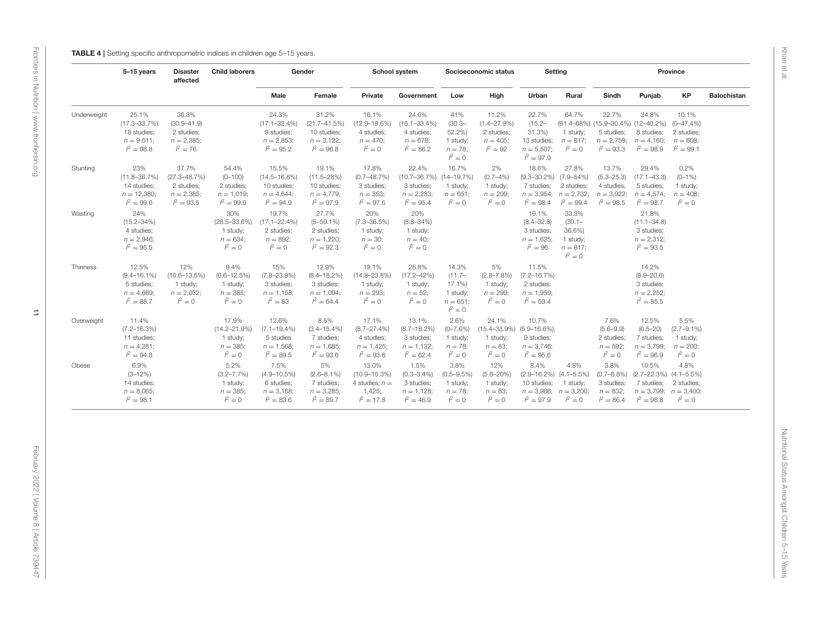<span id="page-12-0"></span>

|             | 5-15 years                                                               | <b>Disaster</b><br>affected                                             | <b>Child laborers</b>                                              | Gender                                                                    |                                                                          | School system                                                           |                                                                         | Socioeconomic status                                                |                                                                                     | Setting                                                                    |                                                                       | Province                                                              |                                                                                                       |                                                                     |                    |
|-------------|--------------------------------------------------------------------------|-------------------------------------------------------------------------|--------------------------------------------------------------------|---------------------------------------------------------------------------|--------------------------------------------------------------------------|-------------------------------------------------------------------------|-------------------------------------------------------------------------|---------------------------------------------------------------------|-------------------------------------------------------------------------------------|----------------------------------------------------------------------------|-----------------------------------------------------------------------|-----------------------------------------------------------------------|-------------------------------------------------------------------------------------------------------|---------------------------------------------------------------------|--------------------|
|             |                                                                          |                                                                         |                                                                    | Male                                                                      | Female                                                                   | Private                                                                 | Government                                                              | Low                                                                 | High                                                                                | Urban                                                                      | Rural                                                                 | Sindh                                                                 | Punjab                                                                                                | <b>KP</b>                                                           | <b>Balochistan</b> |
| Underweight | 25.1%<br>$(17.3 - 33.7%)$<br>18 studies;<br>$n = 9,611;$<br>$l^2 = 98.8$ | 36.3%<br>$(30.9 - 41.9)$<br>2 studies;<br>$n = 2,385;$<br>$l^2 = 76$    |                                                                    | 24.3%<br>$(17.1 - 32.4\%)$<br>9 studies;<br>$n = 2,853;$<br>$l^2 = 95.2$  | 31.2%<br>$(21.7 - 41.5%)$<br>10 studies;<br>$n = 3,122;$<br>$l^2 = 96.8$ | 16.1%<br>$(12.9 - 19.6\%)$<br>4 studies;<br>$n = 470$ ;<br>$l^2 = 0$    | 24.6%<br>$(16.1 - 33.4\%)$<br>4 studies;<br>$n = 678;$<br>$l^2 = 86.2$  | 41%<br>$(30.3 -$<br>52.2%)<br>1 study;<br>$n = 78;$<br>$l^2 = 0$    | 11.2%<br>$(1.4 - 27.9%)$<br>2 studies;<br>$n = 405$ ;<br>$l^2 = 92$                 | 22.7%<br>$(15.2 -$<br>31.3%<br>13 studies;<br>$n = 5,507;$<br>$l^2 = 97.9$ | 64.7%<br>1 study;<br>$n = 817$ ;<br>$l^2 = 0$                         | 22.7%<br>5 studies;<br>$n = 2,759;$<br>$l^2 = 93.3$                   | 24.8%<br>$(61.4 - 68%)$ $(15.9 - 30.4%)$ $(12 - 40.2%)$<br>8 studies;<br>$n = 4,160;$<br>$l^2 = 98.9$ | 10.1%<br>$(0-47.4\%)$<br>2 studies;<br>$n = 608$<br>$l^2 = 99.1$    |                    |
| Stunting    | 23%<br>$(11.8 - 36.7%)$<br>14 studies:<br>$n = 12,380;$<br>$l^2 = 99.6$  | 37.7%<br>$(27.3 - 48.7%)$<br>2 studies;<br>$n = 2,385;$<br>$l^2 = 93.5$ | 54.4%<br>$(0 - 100)$<br>2 studies;<br>$n = 1,019;$<br>$l^2 = 99.9$ | 15.5%<br>$(14.5 - 16.6\%)$<br>10 studies;<br>$n = 4,644;$<br>$l^2 = 94.9$ | 19.1%<br>$(11.5 - 28%)$<br>10 studies;<br>$n = 4,779;$<br>$l^2 = 97.9$   | 17.8%<br>$(0.7 - 48.7%)$<br>3 studies;<br>$n = 353;$<br>$l^2 = 97.5$    | 22.4%<br>$(10.7 - 36.7%)$<br>3 studies;<br>$n = 2,233;$<br>$l^2 = 95.4$ | 16.7%<br>$(14 - 19.7%)$<br>1 study;<br>$n = 651;$<br>$l^2 = 0$      | 2%<br>$(0.7 - 4\%)$<br>1 study;<br>$n = 299;$<br>$l^2 = 0$                          | 18.6%<br>$(9.3 - 30.2\%)$<br>7 studies;<br>$n = 3,954;$<br>$l^2 = 98.4$    | 27.8%<br>$(7.9 - 54\%)$<br>2 studies:<br>$n = 2,732;$<br>$l^2 = 99.4$ | 13.7%<br>$(5.3 - 25.3)$<br>4 studies;<br>$n = 3,922;$<br>$l^2 = 98.5$ | 29.4%<br>$(17.1 - 43.3)$<br>5 studies;<br>$n = 4.574;$<br>$l^2 = 98.7$                                | 0.2%<br>$(0 - 1\%)$<br>1 study;<br>$n = 408$<br>$l^2 = 0$           |                    |
| Wasting     | 24%<br>$(15.2 - 34%)$<br>4 studies;<br>$n = 2,946;$<br>$l^2 = 95.5$      |                                                                         | 30%<br>$(26.5 - 33.6%)$<br>1 study;<br>$n = 634$ ;<br>$l^2 = 0$    | 19.7%<br>$(17.1 - 22.4\%)$<br>2 studies;<br>$n = 892;$<br>$l^2 = 0$       | 27.7%<br>$(5 - 59.1\%)$<br>2 studies;<br>$n = 1,220;$<br>$l^2 = 92.3$    | 20%<br>$(7.3 - 36.5%)$<br>1 study;<br>$n = 30$ ;<br>$l^2 = 0$           | 20%<br>$(8.8 - 34\%)$<br>1 study;<br>$n = 40$ ;<br>$l^2 = 0$            |                                                                     |                                                                                     | 19.1%<br>$(8.4 - 32.8)$<br>3 studies;<br>$n = 1,625;$<br>$l^2 = 96$        | 33.3%<br>$(30.1 -$<br>36.6%<br>1 study;<br>$n = 817;$<br>$l^2 = 0$    |                                                                       | 21.8%<br>$(11.1 - 34.8)$<br>3 studies;<br>$n = 2,312$ ;<br>$l^2 = 93.5$                               |                                                                     |                    |
| Thinness    | 12.5%<br>$(9.4 - 16.1\%)$<br>5 studies;<br>$n = 4,669;$<br>$l^2 = 88.7$  | 12%<br>$(10.6 - 13.5%)$<br>1 study;<br>$n = 2,032;$<br>$l^2 = 0$        | 9.4%<br>$(6.6 - 12.5%)$<br>1 study;<br>$n = 385;$<br>$l^2 = 0$     | 15%<br>$(7.8 - 23.9%)$<br>3 studies;<br>$n = 1,158;$<br>$l^2 = 83$        | 12.9%<br>$(8.4 - 18.2\%)$<br>3 studies;<br>$n = 1,094;$<br>$l^2 = 64.4$  | 19.1%<br>$(14.8 - 23.8\%)$<br>1 study;<br>$n = 293;$<br>$l^2 = 0$       | 28.8%<br>$(17.2 - 42%)$<br>1 study;<br>$n = 52;$<br>$l^2 = 0$           | 14.3%<br>$(11.7 -$<br>17.1%<br>1 study;<br>$n = 651$ ;<br>$l^2 = 0$ | 5%<br>$(2.8 - 7.8\%)$<br>1 study;<br>$n = 299;$<br>$l^2 = 0$                        | 11.5%<br>$(7.2 - 16.7%)$<br>2 studies;<br>$n = 1,959;$<br>$l^2 = 59.4$     |                                                                       |                                                                       | 14.2%<br>$(8.9 - 20.6)$<br>3 studies;<br>$n = 2,252;$<br>$l^2 = 85.5$                                 |                                                                     |                    |
| Overweight  | 11.4%<br>$(7.2 - 16.3%)$<br>11 studies;<br>$n = 4,281;$<br>$l^2 = 94.8$  |                                                                         | 17.9%<br>$(14.2 - 21.9%)$<br>1 study;<br>$n = 385;$<br>$l^2 = 0$   | 12.6%<br>$(7.1 - 19.4\%)$<br>5 studies<br>$n = 1,568;$<br>$l^2 = 89.5$    | 8.5%<br>$(3.4 - 15.4\%)$<br>7 studies;<br>$n = 1,685;$<br>$l^2 = 93.6$   | 17.1%<br>$(8.7 - 27.4%)$<br>4 studies;<br>$n = 1,425$ ;<br>$l^2 = 93.6$ | 13.1%<br>$(8.7 - 18.2%)$<br>3 studies;<br>$n = 1,132;$<br>$l^2 = 62.4$  | 2.6%<br>$(0 - 7.6\%)$<br>1 study;<br>$n = 78;$<br>$l^2 = 0$         | 24.1%<br>$(15.4 - 33.9\%)$ $(5.9 - 16.6\%)$ ;<br>1 study;<br>$n = 83;$<br>$l^2 = 0$ | 10.7%<br>9 studies;<br>$n = 3,746;$<br>$l^2 = 95.6$                        |                                                                       | 7.6%<br>$(5.6 - 9.9)$<br>2 studies;<br>$n = 592;$<br>$l^2 = 0$        | 12.5%<br>$(6.5 - 20)$<br>7 studies;<br>$n = 3,799;$<br>$l^2 = 96.9$                                   | 5.5%<br>$(2.7 - 9.1\%)$<br>1 study;<br>$n = 200;$<br>$l^2 = 0$      |                    |
| Obese       | 6.9%<br>$(3 - 12\%)$<br>14 studies;<br>$n = 8,065;$<br>$l^2 = 98.1$      |                                                                         | 5.2%<br>$(3.2 - 7.7%)$<br>1 study;<br>$n = 385;$<br>$l^2 = 0$      | 7.5%<br>$(4.9 - 10.5\%)$<br>6 studies;<br>$n = 3,168;$<br>$l^2 = 83.6$    | 5%<br>$(2.6 - 8.1\%)$<br>7 studies;<br>$n = 3,285;$<br>$l^2 = 89.7$      | 13.0%<br>$(10.9 - 15.3%)$<br>4 studies; $n =$<br>1,425;<br>$l^2 = 17.8$ | 1.5%<br>$(0.3 - 3.4\%)$<br>3 studies;<br>$n = 1,128;$<br>$l^2 = 46.9$   | 3.8%<br>$(0.5 - 9.5\%)$<br>1 study;<br>$n = 78$<br>$l^2 = 0$        | 12%<br>$(5.8 - 20%)$<br>1 study;<br>$n = 83$ ;<br>$l^2 = 0$                         | 8.4%<br>$(2.9 - 16.2\%)$ $(4.1 - 5.5\%)$<br>10 studies;<br>$l^2 = 97.9$    | 4.8%<br>1 study;<br>$n = 3,986;$ $n = 3,200;$<br>$l^2 = 0$            | 3.8%<br>$(0.7 - 8.8\%)$<br>3 studies;<br>$n = 832;$<br>$l^2 = 86.4$   | 10.5%<br>$(2.7 - 22.3%)$<br>7 studies;<br>$n = 3,799;$<br>$l^2 = 98.8$                                | 4.8%<br>$(4.1 - 5.5\%)$<br>2 studies;<br>$n = 3,400$ ;<br>$l^2 = 0$ |                    |

Khan et al.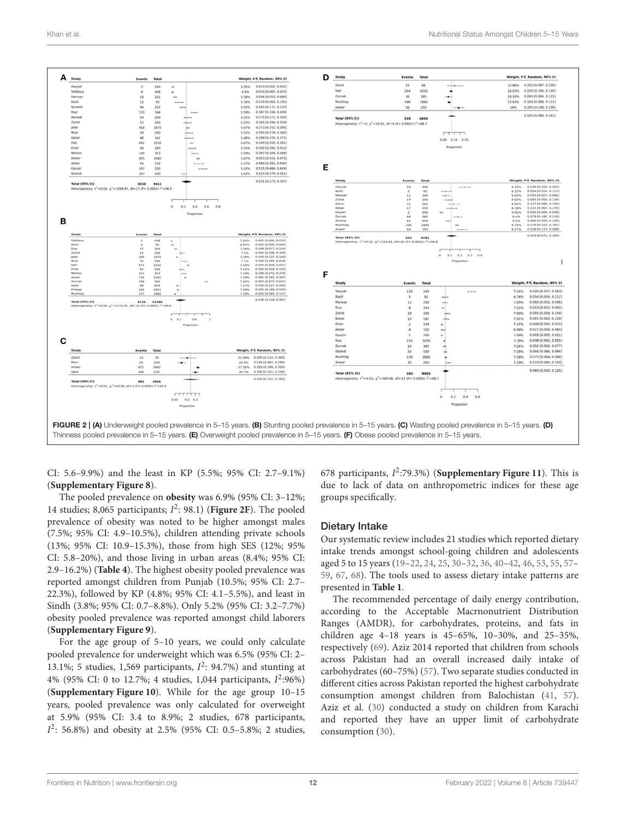

<span id="page-13-0"></span>CI: 5.6–9.9%) and the least in KP (5.5%; 95% CI: 2.7–9.1%) (**[Supplementary Figure 8](#page-16-0)**).

The pooled prevalence on **obesity** was 6.9% (95% CI: 3–12%; 14 studies; 8,065 participants; I 2 : 98.1) (**[Figure 2F](#page-13-0)**). The pooled prevalence of obesity was noted to be higher amongst males (7.5%; 95% CI: 4.9–10.5%), children attending private schools (13%; 95% CI: 10.9–15.3%), those from high SES (12%; 95% CI: 5.8–20%), and those living in urban areas (8.4%; 95% CI: 2.9–16.2%) (**[Table 4](#page-12-0)**). The highest obesity pooled prevalence was reported amongst children from Punjab (10.5%; 95% CI: 2.7– 22.3%), followed by KP (4.8%; 95% CI: 4.1–5.5%), and least in Sindh (3.8%; 95% CI: 0.7–8.8%). Only 5.2% (95% CI: 3.2–7.7%) obesity pooled prevalence was reported amongst child laborers (**[Supplementary Figure 9](#page-16-0)**).

For the age group of 5–10 years, we could only calculate pooled prevalence for underweight which was 6.5% (95% CI: 2– 13.1%; 5 studies, 1,569 participants,  $I^2$ : 94.7%) and stunting at 4% (95% CI: 0 to 12.7%; 4 studies, 1,044 participants,  $I^2$ :96%) (**[Supplementary Figure 10](#page-16-0)**). While for the age group 10–15 years, pooled prevalence was only calculated for overweight at 5.9% (95% CI: 3.4 to 8.9%; 2 studies, 678 participants,  $I^2$ : 56.8%) and obesity at 2.5% (95% CI: 0.5-5.8%; 2 studies,

678 participants, I 2 :79.3%) (**[Supplementary Figure 11](#page-16-0)**). This is due to lack of data on anthropometric indices for these age groups specifically.

#### Dietary Intake

Our systematic review includes 21 studies which reported dietary intake trends amongst school-going children and adolescents aged 5 to 15 years [\(19](#page-17-18)[–22,](#page-17-32) [24,](#page-17-26) [25,](#page-17-21) [30–](#page-17-29)[32,](#page-17-24) [36,](#page-17-31) [40–](#page-18-26)[42,](#page-18-30) [46,](#page-18-22) [53,](#page-18-23) [55,](#page-18-8) [57–](#page-18-24) [59,](#page-18-9) [67,](#page-18-13) [68\)](#page-18-0). The tools used to assess dietary intake patterns are presented in **[Table 1](#page-6-0)**.

The recommended percentage of daily energy contribution, according to the Acceptable Macrnonutrient Distribution Ranges (AMDR), for carbohydrates, proteins, and fats in children age 4–18 years is 45–65%, 10–30%, and 25–35%, respectively [\(69\)](#page-18-60). Aziz 2014 reported that children from schools across Pakistan had an overall increased daily intake of carbohydrates (60–75%) [\(57\)](#page-18-24). Two separate studies conducted in different cities across Pakistan reported the highest carbohydrate consumption amongst children from Balochistan [\(41,](#page-18-31) [57\)](#page-18-24). Aziz et al. [\(30\)](#page-17-29) conducted a study on children from Karachi and reported they have an upper limit of carbohydrate consumption [\(30\)](#page-17-29).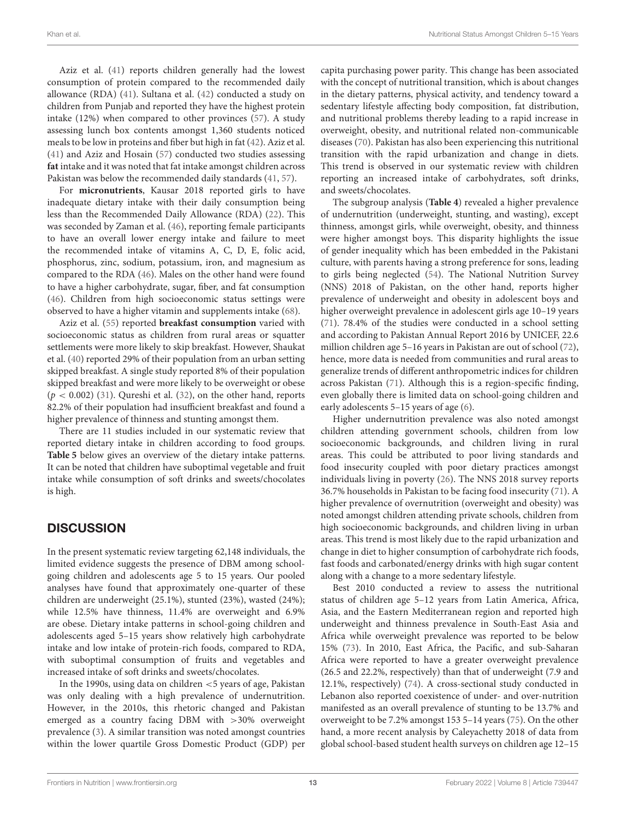Aziz et al. [\(41\)](#page-18-31) reports children generally had the lowest consumption of protein compared to the recommended daily allowance (RDA) [\(41\)](#page-18-31). Sultana et al. [\(42\)](#page-18-30) conducted a study on children from Punjab and reported they have the highest protein intake (12%) when compared to other provinces [\(57\)](#page-18-24). A study assessing lunch box contents amongst 1,360 students noticed meals to be low in proteins and fiber but high in fat [\(42\)](#page-18-30). Aziz et al. [\(41\)](#page-18-31) and Aziz and Hosain [\(57\)](#page-18-24) conducted two studies assessing **fat** intake and it was noted that fat intake amongst children across Pakistan was below the recommended daily standards [\(41,](#page-18-31) [57\)](#page-18-24).

For **micronutrients**, Kausar 2018 reported girls to have inadequate dietary intake with their daily consumption being less than the Recommended Daily Allowance (RDA) [\(22\)](#page-17-32). This was seconded by Zaman et al. [\(46\)](#page-18-22), reporting female participants to have an overall lower energy intake and failure to meet the recommended intake of vitamins A, C, D, E, folic acid, phosphorus, zinc, sodium, potassium, iron, and magnesium as compared to the RDA [\(46\)](#page-18-22). Males on the other hand were found to have a higher carbohydrate, sugar, fiber, and fat consumption [\(46\)](#page-18-22). Children from high socioeconomic status settings were observed to have a higher vitamin and supplements intake [\(68\)](#page-18-0).

Aziz et al. [\(55\)](#page-18-8) reported **breakfast consumption** varied with socioeconomic status as children from rural areas or squatter settlements were more likely to skip breakfast. However, Shaukat et al. [\(40\)](#page-18-26) reported 29% of their population from an urban setting skipped breakfast. A single study reported 8% of their population skipped breakfast and were more likely to be overweight or obese  $(p < 0.002)$  [\(31\)](#page-17-23). Qureshi et al. [\(32\)](#page-17-24), on the other hand, reports 82.2% of their population had insufficient breakfast and found a higher prevalence of thinness and stunting amongst them.

There are 11 studies included in our systematic review that reported dietary intake in children according to food groups. **[Table 5](#page-15-0)** below gives an overview of the dietary intake patterns. It can be noted that children have suboptimal vegetable and fruit intake while consumption of soft drinks and sweets/chocolates is high.

### **DISCUSSION**

In the present systematic review targeting 62,148 individuals, the limited evidence suggests the presence of DBM among schoolgoing children and adolescents age 5 to 15 years. Our pooled analyses have found that approximately one-quarter of these children are underweight (25.1%), stunted (23%), wasted (24%); while 12.5% have thinness, 11.4% are overweight and 6.9% are obese. Dietary intake patterns in school-going children and adolescents aged 5–15 years show relatively high carbohydrate intake and low intake of protein-rich foods, compared to RDA, with suboptimal consumption of fruits and vegetables and increased intake of soft drinks and sweets/chocolates.

In the 1990s, using data on children <5 years of age, Pakistan was only dealing with a high prevalence of undernutrition. However, in the 2010s, this rhetoric changed and Pakistan emerged as a country facing DBM with >30% overweight prevalence [\(3\)](#page-17-2). A similar transition was noted amongst countries within the lower quartile Gross Domestic Product (GDP) per capita purchasing power parity. This change has been associated with the concept of nutritional transition, which is about changes in the dietary patterns, physical activity, and tendency toward a sedentary lifestyle affecting body composition, fat distribution, and nutritional problems thereby leading to a rapid increase in overweight, obesity, and nutritional related non-communicable diseases [\(70\)](#page-18-61). Pakistan has also been experiencing this nutritional transition with the rapid urbanization and change in diets. This trend is observed in our systematic review with children reporting an increased intake of carbohydrates, soft drinks, and sweets/chocolates.

The subgroup analysis (**[Table 4](#page-12-0)**) revealed a higher prevalence of undernutrition (underweight, stunting, and wasting), except thinness, amongst girls, while overweight, obesity, and thinness were higher amongst boys. This disparity highlights the issue of gender inequality which has been embedded in the Pakistani culture, with parents having a strong preference for sons, leading to girls being neglected [\(54\)](#page-18-7). The National Nutrition Survey (NNS) 2018 of Pakistan, on the other hand, reports higher prevalence of underweight and obesity in adolescent boys and higher overweight prevalence in adolescent girls age 10–19 years [\(71\)](#page-18-62). 78.4% of the studies were conducted in a school setting and according to Pakistan Annual Report 2016 by UNICEF, 22.6 million children age 5–16 years in Pakistan are out of school [\(72\)](#page-18-63), hence, more data is needed from communities and rural areas to generalize trends of different anthropometric indices for children across Pakistan [\(71\)](#page-18-62). Although this is a region-specific finding, even globally there is limited data on school-going children and early adolescents 5–15 years of age [\(6\)](#page-17-5).

Higher undernutrition prevalence was also noted amongst children attending government schools, children from low socioeconomic backgrounds, and children living in rural areas. This could be attributed to poor living standards and food insecurity coupled with poor dietary practices amongst individuals living in poverty [\(26\)](#page-17-34). The NNS 2018 survey reports 36.7% households in Pakistan to be facing food insecurity [\(71\)](#page-18-62). A higher prevalence of overnutrition (overweight and obesity) was noted amongst children attending private schools, children from high socioeconomic backgrounds, and children living in urban areas. This trend is most likely due to the rapid urbanization and change in diet to higher consumption of carbohydrate rich foods, fast foods and carbonated/energy drinks with high sugar content along with a change to a more sedentary lifestyle.

Best 2010 conducted a review to assess the nutritional status of children age 5–12 years from Latin America, Africa, Asia, and the Eastern Mediterranean region and reported high underweight and thinness prevalence in South-East Asia and Africa while overweight prevalence was reported to be below 15% [\(73\)](#page-19-0). In 2010, East Africa, the Pacific, and sub-Saharan Africa were reported to have a greater overweight prevalence (26.5 and 22.2%, respectively) than that of underweight (7.9 and 12.1%, respectively) [\(74\)](#page-19-1). A cross-sectional study conducted in Lebanon also reported coexistence of under- and over-nutrition manifested as an overall prevalence of stunting to be 13.7% and overweight to be 7.2% amongst 153 5–14 years [\(75\)](#page-19-2). On the other hand, a more recent analysis by Caleyachetty 2018 of data from global school-based student health surveys on children age 12–15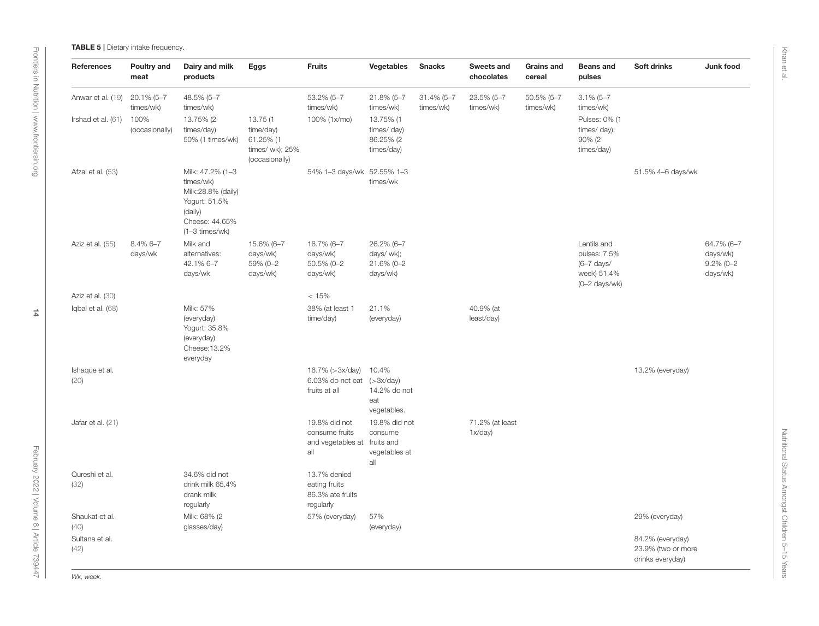| References             | Poultry and<br>meat     | Dairy and milk<br>products                                                                                                   | Eggs                                                                    | <b>Fruits</b>                                                  | <b>Vegetables</b>                                                  | <b>Snacks</b>              | Sweets and<br>chocolates   | <b>Grains and</b><br>cereal | <b>Beans and</b><br>pulses                                                                    | Soft drinks                                                | Junk food                                          |
|------------------------|-------------------------|------------------------------------------------------------------------------------------------------------------------------|-------------------------------------------------------------------------|----------------------------------------------------------------|--------------------------------------------------------------------|----------------------------|----------------------------|-----------------------------|-----------------------------------------------------------------------------------------------|------------------------------------------------------------|----------------------------------------------------|
| Anwar et al. (19)      | 20.1% (5-7<br>times/wk) | 48.5% (5-7<br>times/wk)                                                                                                      |                                                                         | 53.2% (5-7<br>times/wk)                                        | 21.8% (5-7<br>times/wk)                                            | $31.4\%$ (5-7<br>times/wk) | 23.5% (5-7<br>times/wk)    | 50.5% (5-7<br>times/wk)     | $3.1\%$ (5-7<br>times/wk)                                                                     |                                                            |                                                    |
| Irshad et al. (61)     | 100%<br>(occasionally)  | 13.75% (2<br>times/day)<br>50% (1 times/wk)                                                                                  | 13.75 (1<br>time/day)<br>61.25% (1<br>times/ wk); 25%<br>(occasionally) | 100% (1x/mo)                                                   | 13.75% (1<br>times/day)<br>86.25% (2<br>times/day)                 |                            |                            |                             | Pulses: 0% (1<br>times/ day);<br>90% (2<br>times/day)                                         |                                                            |                                                    |
| Afzal et al. (53)      |                         | Milk: 47.2% (1-3<br>times/wk)<br>Milk:28.8% (daily)<br>Yogurt: 51.5%<br>(daily)<br>Cheese: 44.65%<br>$(1-3 \times$ times/wk) |                                                                         | 54% 1-3 days/wk 52.55% 1-3                                     | times/wk                                                           |                            |                            |                             |                                                                                               | 51.5% 4-6 days/wk                                          |                                                    |
| Aziz et al. (55)       | 8.4% 6-7<br>days/wk     | Milk and<br>alternatives:<br>42.1% 6-7<br>days/wk                                                                            | 15.6% (6-7<br>days/wk)<br>59% (0-2<br>days/wk)                          | 16.7% (6-7<br>days/wk)<br>50.5% (0-2<br>days/wk)               | 26.2% (6-7<br>days/ wk);<br>21.6% (0-2<br>days/wk)                 |                            |                            |                             | Lentils and<br>pulses: 7.5%<br>$(6-7 \text{ days})$<br>week) 51.4%<br>$(0-2 \text{ days/wk})$ |                                                            | 64.7% (6-7<br>days/wk)<br>$9.2\%$ (0-2<br>days/wk) |
| Aziz et al. (30)       |                         |                                                                                                                              |                                                                         | < 15%                                                          |                                                                    |                            |                            |                             |                                                                                               |                                                            |                                                    |
| Iqbal et al. (68)      |                         | Milk: 57%<br>(everyday)<br>Yogurt: 35.8%<br>(everyday)<br>Cheese: 13.2%<br>everyday                                          |                                                                         | 38% (at least 1<br>time/day)                                   | 21.1%<br>(everyday)                                                |                            | 40.9% (at<br>least/day)    |                             |                                                                                               |                                                            |                                                    |
| Ishaque et al.<br>(20) |                         |                                                                                                                              |                                                                         | 16.7% ( $>3x/day$ )<br>6.03% do not eat<br>fruits at all       | 10.4%<br>$($ >3x $/$ day $)$<br>14.2% do not<br>eat<br>vegetables. |                            |                            |                             |                                                                                               | 13.2% (everyday)                                           |                                                    |
| Jafar et al. $(21)$    |                         |                                                                                                                              |                                                                         | 19.8% did not<br>consume fruits<br>and vegetables at<br>all    | 19.8% did not<br>consume<br>fruits and<br>vegetables at<br>all     |                            | 71.2% (at least<br>1x/day) |                             |                                                                                               |                                                            |                                                    |
| Qureshi et al.<br>(32) |                         | 34.6% did not<br>drink milk 65.4%<br>drank milk<br>regularly                                                                 |                                                                         | 13.7% denied<br>eating fruits<br>86.3% ate fruits<br>regularly |                                                                    |                            |                            |                             |                                                                                               |                                                            |                                                    |
| Shaukat et al.<br>(40) |                         | Milk: 68% (2<br>glasses/day)                                                                                                 |                                                                         | 57% (everyday)                                                 | 57%<br>(everyday)                                                  |                            |                            |                             |                                                                                               | 29% (everyday)                                             |                                                    |
| Sultana et al.<br>(42) |                         |                                                                                                                              |                                                                         |                                                                |                                                                    |                            |                            |                             |                                                                                               | 84.2% (everyday)<br>23.9% (two or more<br>drinks everyday) |                                                    |

<span id="page-15-0"></span>*Wk, week.*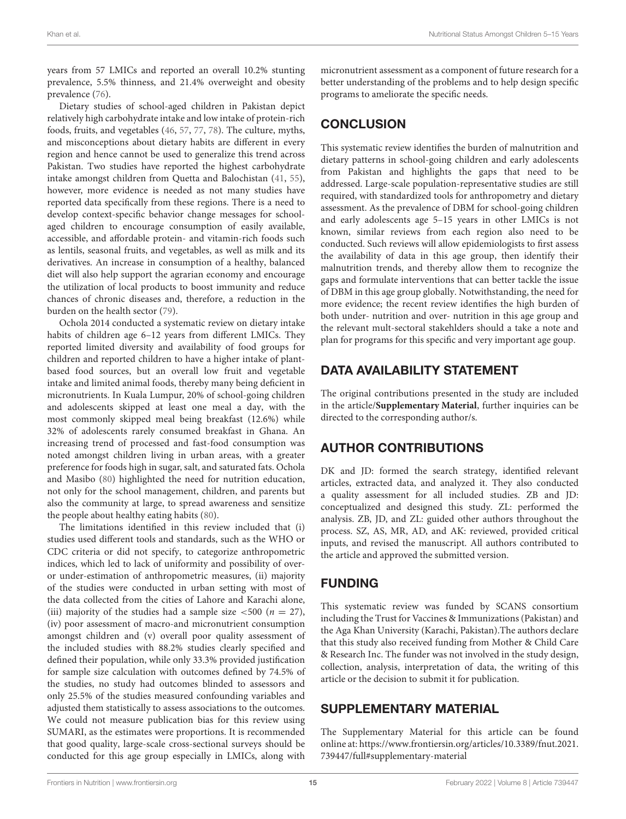years from 57 LMICs and reported an overall 10.2% stunting prevalence, 5.5% thinness, and 21.4% overweight and obesity prevalence [\(76\)](#page-19-3).

Dietary studies of school-aged children in Pakistan depict relatively high carbohydrate intake and low intake of protein-rich foods, fruits, and vegetables [\(46,](#page-18-22) [57,](#page-18-24) [77,](#page-19-4) [78\)](#page-19-5). The culture, myths, and misconceptions about dietary habits are different in every region and hence cannot be used to generalize this trend across Pakistan. Two studies have reported the highest carbohydrate intake amongst children from Quetta and Balochistan [\(41,](#page-18-31) [55\)](#page-18-8), however, more evidence is needed as not many studies have reported data specifically from these regions. There is a need to develop context-specific behavior change messages for schoolaged children to encourage consumption of easily available, accessible, and affordable protein- and vitamin-rich foods such as lentils, seasonal fruits, and vegetables, as well as milk and its derivatives. An increase in consumption of a healthy, balanced diet will also help support the agrarian economy and encourage the utilization of local products to boost immunity and reduce chances of chronic diseases and, therefore, a reduction in the burden on the health sector [\(79\)](#page-19-6).

Ochola 2014 conducted a systematic review on dietary intake habits of children age 6–12 years from different LMICs. They reported limited diversity and availability of food groups for children and reported children to have a higher intake of plantbased food sources, but an overall low fruit and vegetable intake and limited animal foods, thereby many being deficient in micronutrients. In Kuala Lumpur, 20% of school-going children and adolescents skipped at least one meal a day, with the most commonly skipped meal being breakfast (12.6%) while 32% of adolescents rarely consumed breakfast in Ghana. An increasing trend of processed and fast-food consumption was noted amongst children living in urban areas, with a greater preference for foods high in sugar, salt, and saturated fats. Ochola and Masibo [\(80\)](#page-19-7) highlighted the need for nutrition education, not only for the school management, children, and parents but also the community at large, to spread awareness and sensitize the people about healthy eating habits [\(80\)](#page-19-7).

The limitations identified in this review included that (i) studies used different tools and standards, such as the WHO or CDC criteria or did not specify, to categorize anthropometric indices, which led to lack of uniformity and possibility of overor under-estimation of anthropometric measures, (ii) majority of the studies were conducted in urban setting with most of the data collected from the cities of Lahore and Karachi alone, (iii) majority of the studies had a sample size  $<500$  ( $n = 27$ ), (iv) poor assessment of macro-and micronutrient consumption amongst children and (v) overall poor quality assessment of the included studies with 88.2% studies clearly specified and defined their population, while only 33.3% provided justification for sample size calculation with outcomes defined by 74.5% of the studies, no study had outcomes blinded to assessors and only 25.5% of the studies measured confounding variables and adjusted them statistically to assess associations to the outcomes. We could not measure publication bias for this review using SUMARI, as the estimates were proportions. It is recommended that good quality, large-scale cross-sectional surveys should be conducted for this age group especially in LMICs, along with micronutrient assessment as a component of future research for a better understanding of the problems and to help design specific programs to ameliorate the specific needs.

## **CONCLUSION**

This systematic review identifies the burden of malnutrition and dietary patterns in school-going children and early adolescents from Pakistan and highlights the gaps that need to be addressed. Large-scale population-representative studies are still required, with standardized tools for anthropometry and dietary assessment. As the prevalence of DBM for school-going children and early adolescents age 5–15 years in other LMICs is not known, similar reviews from each region also need to be conducted. Such reviews will allow epidemiologists to first assess the availability of data in this age group, then identify their malnutrition trends, and thereby allow them to recognize the gaps and formulate interventions that can better tackle the issue of DBM in this age group globally. Notwithstanding, the need for more evidence; the recent review identifies the high burden of both under- nutrition and over- nutrition in this age group and the relevant mult-sectoral stakehlders should a take a note and plan for programs for this specific and very important age goup.

## DATA AVAILABILITY STATEMENT

The original contributions presented in the study are included in the article/**[Supplementary Material](#page-16-0)**, further inquiries can be directed to the corresponding author/s.

### AUTHOR CONTRIBUTIONS

DK and JD: formed the search strategy, identified relevant articles, extracted data, and analyzed it. They also conducted a quality assessment for all included studies. ZB and JD: conceptualized and designed this study. ZL: performed the analysis. ZB, JD, and ZL: guided other authors throughout the process. SZ, AS, MR, AD, and AK: reviewed, provided critical inputs, and revised the manuscript. All authors contributed to the article and approved the submitted version.

### FUNDING

This systematic review was funded by SCANS consortium including the Trust for Vaccines & Immunizations (Pakistan) and the Aga Khan University (Karachi, Pakistan).The authors declare that this study also received funding from Mother & Child Care & Research Inc. The funder was not involved in the study design, collection, analysis, interpretation of data, the writing of this article or the decision to submit it for publication.

### SUPPLEMENTARY MATERIAL

<span id="page-16-0"></span>The Supplementary Material for this article can be found [online at: https://www.frontiersin.org/articles/10.3389/fnut.2021.](https://www.frontiersin.org/articles/10.3389/fnut.2021.739447/full#supplementary-material) 739447/full#supplementary-material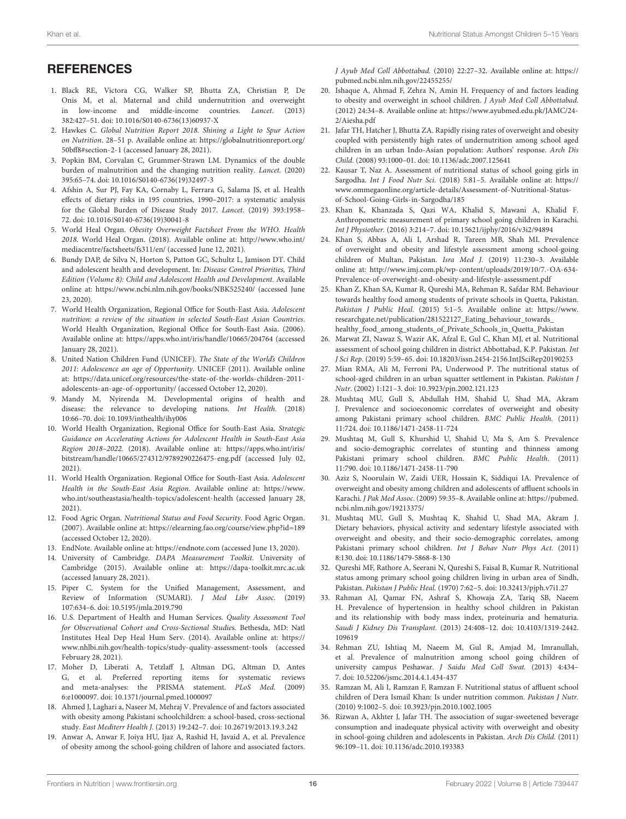### <span id="page-17-37"></span><span id="page-17-36"></span>**REFERENCES**

- <span id="page-17-0"></span>1. Black RE, Victora CG, Walker SP, Bhutta ZA, Christian P, De Onis M, et al. Maternal and child undernutrition and overweight in low-income and middle-income countries. Lancet. (2013) 382:427–51. doi: [10.1016/S0140-6736\(13\)60937-X](https://doi.org/10.1016/S0140-6736(13)60937-X)
- <span id="page-17-1"></span>2. Hawkes C. Global Nutrition Report 2018. Shining a Light to Spur Action on Nutrition. 28–51 p. Available online at: [https://globalnutritionreport.org/](https://globalnutritionreport.org/50bff8#section-2-1) [50bff8#section-2-1](https://globalnutritionreport.org/50bff8#section-2-1) (accessed January 28, 2021).
- <span id="page-17-2"></span>3. Popkin BM, Corvalan C, Grummer-Strawn LM. Dynamics of the double burden of malnutrition and the changing nutrition reality. Lancet. (2020) 395:65–74. doi: [10.1016/S0140-6736\(19\)32497-3](https://doi.org/10.1016/S0140-6736(19)32497-3)
- <span id="page-17-3"></span>4. Afshin A, Sur PJ, Fay KA, Cornaby L, Ferrara G, Salama JS, et al. Health effects of dietary risks in 195 countries, 1990–2017: a systematic analysis for the Global Burden of Disease Study 2017. Lancet. (2019) 393:1958– 72. doi: [10.1016/S0140-6736\(19\)30041-8](https://doi.org/10.1016/S0140-6736(19)30041-8)
- <span id="page-17-4"></span>5. World Heal Organ. Obesity Overweight Factsheet From the WHO. Health 2018. World Heal Organ. (2018). Available online at: [http://www.who.int/](http://www.who.int/mediacentre/factsheets/fs311/en/) [mediacentre/factsheets/fs311/en/](http://www.who.int/mediacentre/factsheets/fs311/en/) (accessed June 12, 2021).
- <span id="page-17-5"></span>6. Bundy DAP, de Silva N, Horton S, Patton GC, Schultz L, Jamison DT. Child and adolescent health and development. In: Disease Control Priorities, Third Edition (Volume 8): Child and Adolescent Health and Development. Available online at:<https://www.ncbi.nlm.nih.gov/books/NBK525240/> (accessed June 23, 2020).
- <span id="page-17-54"></span><span id="page-17-53"></span><span id="page-17-52"></span><span id="page-17-6"></span>7. World Health Organization, Regional Office for South-East Asia. Adolescent nutrition: a review of the situation in selected South-East Asian Countries. World Health Organization, Regional Office for South-East Asia. (2006). Available online at:<https://apps.who.int/iris/handle/10665/204764> (accessed January 28, 2021).
- <span id="page-17-7"></span>8. United Nation Children Fund (UNICEF). The State of the World's Children 2011: Adolescence an age of Opportunity. UNICEF (2011). Available online at: [https://data.unicef.org/resources/the-state-of-the-worlds-children-2011](https://data.unicef.org/resources/the-state-of-the-worlds-children-2011-adolescents-an-age-of-opportunity/) [adolescents-an-age-of-opportunity/](https://data.unicef.org/resources/the-state-of-the-worlds-children-2011-adolescents-an-age-of-opportunity/) (accessed October 12, 2020).
- <span id="page-17-8"></span>Mandy M, Nyirenda M. Developmental origins of health and disease: the relevance to developing nations. Int Health. (2018) 10:66–70. doi: [10.1093/inthealth/ihy006](https://doi.org/10.1093/inthealth/ihy006)
- <span id="page-17-9"></span>10. World Health Organization, Regional Office for South-East Asia. Strategic Guidance on Accelerating Actions for Adolescent Health in South-East Asia Region 2018–2022. (2018). Available online at: [https://apps.who.int/iris/](https://apps.who.int/iris/bitstream/handle/10665/274312/9789290226475-eng.pdf) [bitstream/handle/10665/274312/9789290226475-eng.pdf](https://apps.who.int/iris/bitstream/handle/10665/274312/9789290226475-eng.pdf) (accessed July 02, 2021).
- <span id="page-17-10"></span>11. World Health Organization. Regional Office for South-East Asia. Adolescent Health in the South-East Asia Region. Available online at: [https://www.](https://www.who.int/southeastasia/health-topics/adolescent-health) [who.int/southeastasia/health-topics/adolescent-health](https://www.who.int/southeastasia/health-topics/adolescent-health) (accessed January 28, 2021).
- <span id="page-17-11"></span>12. Food Agric Organ. Nutritional Status and Food Security. Food Agric Organ. (2007). Available online at:<https://elearning.fao.org/course/view.php?id=189> (accessed October 12, 2020).
- <span id="page-17-12"></span>13. EndNote. Available online at:<https://endnote.com> (accessed June 13, 2020).
- <span id="page-17-13"></span>14. University of Cambridge. DAPA Measurement Toolkit. University of Cambridge (2015). Available online at:<https://dapa-toolkit.mrc.ac.uk> (accessed January 28, 2021).
- <span id="page-17-14"></span>15. Piper C. System for the Unified Management, Assessment, and Review of Information (SUMARI). J Med Libr Assoc. (2019) 107:634–6. doi: [10.5195/jmla.2019.790](https://doi.org/10.5195/jmla.2019.790)
- <span id="page-17-15"></span>16. U.S. Department of Health and Human Services. Quality Assessment Tool for Observational Cohort and Cross-Sectional Studies. Bethesda, MD: Natl Institutes Heal Dep Heal Hum Serv. (2014). Available online at: [https://](https://www.nhlbi.nih.gov/health-topics/study-quality-assessment-tools) [www.nhlbi.nih.gov/health-topics/study-quality-assessment-tools](https://www.nhlbi.nih.gov/health-topics/study-quality-assessment-tools) (accessed February 28, 2021).
- <span id="page-17-16"></span>17. Moher D, Liberati A, Tetzlaff J, Altman DG, Altman D, Antes G, et al. Preferred reporting items for systematic reviews and meta-analyses: the PRISMA statement. PLoS Med. (2009) 6:e1000097. doi: [10.1371/journal.pmed.1000097](https://doi.org/10.1371/journal.pmed.1000097)
- <span id="page-17-17"></span>18. Ahmed J, Laghari a, Naseer M, Mehraj V. Prevalence of and factors associated with obesity among Pakistani schoolchildren: a school-based, cross-sectional study. East Mediterr Health J. (2013) 19:242–7. doi: [10.26719/2013.19.3.242](https://doi.org/10.26719/2013.19.3.242)
- <span id="page-17-18"></span>19. Anwar A, Anwar F, Joiya HU, Ijaz A, Rashid H, Javaid A, et al. Prevalence of obesity among the school-going children of lahore and associated factors.

J Ayub Med Coll Abbottabad. (2010) 22:27–32. Available online at: [https://](https://pubmed.ncbi.nlm.nih.gov/22455255/) [pubmed.ncbi.nlm.nih.gov/22455255/](https://pubmed.ncbi.nlm.nih.gov/22455255/)

- <span id="page-17-28"></span>Ishaque A, Ahmad F, Zehra N, Amin H. Frequency of and factors leading to obesity and overweight in school children. J Ayub Med Coll Abbottabad. (2012) 24:34–8. Available online at: [https://www.ayubmed.edu.pk/JAMC/24-](https://www.ayubmed.edu.pk/JAMC/24-2/Aiesha.pdf) [2/Aiesha.pdf](https://www.ayubmed.edu.pk/JAMC/24-2/Aiesha.pdf)
- <span id="page-17-19"></span>21. Jafar TH, Hatcher J, Bhutta ZA. Rapidly rising rates of overweight and obesity coupled with persistently high rates of undernutrition among school aged children in an urban Indo-Asian population: Authors' response. Arch Dis Child. (2008) 93:1000–01. doi: [10.1136/adc.2007.125641](https://doi.org/10.1136/adc.2007.125641)
- <span id="page-17-32"></span>22. Kausar T, Naz A. Assessment of nutritional status of school going girls in Sargodha. Int J Food Nutr Sci. (2018) 5:81–5. Available online at: [https://](https://www.ommegaonline.org/article-details/Assessment-of-Nutritional-Status-of-School-Going-Girls-in-Sargodha/185) [www.ommegaonline.org/article-details/Assessment-of-Nutritional-Status](https://www.ommegaonline.org/article-details/Assessment-of-Nutritional-Status-of-School-Going-Girls-in-Sargodha/185)[of-School-Going-Girls-in-Sargodha/185](https://www.ommegaonline.org/article-details/Assessment-of-Nutritional-Status-of-School-Going-Girls-in-Sargodha/185)
- <span id="page-17-20"></span>23. Khan K, Khanzada S, Qazi WA, Khalid S, Mawani A, Khalid F. Anthropometric measurement of primary school going children in Karachi. Int J Physiother. (2016) 3:214–7. doi: [10.15621/ijphy/2016/v3i2/94894](https://doi.org/10.15621/ijphy/2016/v3i2/94894)
- <span id="page-17-26"></span>24. Khan S, Abbas A, Ali I, Arshad R, Tareen MB, Shah MI. Prevalence of overweight and obesity and lifestyle assessment among school-going children of Multan, Pakistan. Isra Med J. (2019) 11:230–3. Available online at: [http://www.imj.com.pk/wp-content/uploads/2019/10/7.-OA-634-](http://www.imj.com.pk/wp-content/uploads/2019/10/7.-OA-634-Prevalence-of-overweight-and-obesity-and-lifestyle-assessment.pdf) [Prevalence-of-overweight-and-obesity-and-lifestyle-assessment.pdf](http://www.imj.com.pk/wp-content/uploads/2019/10/7.-OA-634-Prevalence-of-overweight-and-obesity-and-lifestyle-assessment.pdf)
- <span id="page-17-21"></span>25. Khan Z, Khan SA, Kumar R, Qureshi MA, Rehman R, Safdar RM. Behaviour towards healthy food among students of private schools in Quetta, Pakistan. Pakistan J Public Heal. (2015) 5:1–5. Available online at: [https://www.](https://www.researchgate.net/publication/281522127_Eating_behaviour_towards_healthy_food_among_students_of_Private_Schools_in_Quetta_Pakistan) [researchgate.net/publication/281522127\\_Eating\\_behaviour\\_towards\\_](https://www.researchgate.net/publication/281522127_Eating_behaviour_towards_healthy_food_among_students_of_Private_Schools_in_Quetta_Pakistan) [healthy\\_food\\_among\\_students\\_of\\_Private\\_Schools\\_in\\_Quetta\\_Pakistan](https://www.researchgate.net/publication/281522127_Eating_behaviour_towards_healthy_food_among_students_of_Private_Schools_in_Quetta_Pakistan)
- <span id="page-17-51"></span><span id="page-17-50"></span><span id="page-17-49"></span><span id="page-17-48"></span><span id="page-17-47"></span><span id="page-17-46"></span><span id="page-17-45"></span><span id="page-17-44"></span><span id="page-17-43"></span><span id="page-17-42"></span><span id="page-17-41"></span><span id="page-17-40"></span><span id="page-17-39"></span><span id="page-17-38"></span><span id="page-17-34"></span>26. Marwat ZI, Nawaz S, Wazir AK, Afzal E, Gul C, Khan MJ, et al. Nutritional assessment of school going children in district Abbottabad, K.P. Pakistan. Int J Sci Rep. (2019) 5:59–65. doi: [10.18203/issn.2454-2156.IntJSciRep20190253](https://doi.org/10.18203/issn.2454-2156.IntJSciRep20190253)
- <span id="page-17-35"></span>27. Mian RMA, Ali M, Ferroni PA, Underwood P. The nutritional status of school-aged children in an urban squatter settlement in Pakistan. Pakistan J Nutr. (2002) 1:121–3. doi: [10.3923/pjn.2002.121.123](https://doi.org/10.3923/pjn.2002.121.123)
- <span id="page-17-33"></span>28. Mushtaq MU, Gull S, Abdullah HM, Shahid U, Shad MA, Akram J. Prevalence and socioeconomic correlates of overweight and obesity among Pakistani primary school children. BMC Public Health. (2011) 11:724. doi: [10.1186/1471-2458-11-724](https://doi.org/10.1186/1471-2458-11-724)
- <span id="page-17-22"></span>29. Mushtaq M, Gull S, Khurshid U, Shahid U, Ma S, Am S. Prevalence and socio-demographic correlates of stunting and thinness among Pakistani primary school children. BMC Public Health. (2011) 11:790. doi: [10.1186/1471-2458-11-790](https://doi.org/10.1186/1471-2458-11-790)
- <span id="page-17-29"></span>30. Aziz S, Noorulain W, Zaidi UER, Hossain K, Siddiqui IA. Prevalence of overweight and obesity among children and adolescents of affluent schools in Karachi. J Pak Med Assoc. (2009) 59:35–8. Available online at: [https://pubmed.](https://pubmed.ncbi.nlm.nih.gov/19213375/) [ncbi.nlm.nih.gov/19213375/](https://pubmed.ncbi.nlm.nih.gov/19213375/)
- <span id="page-17-23"></span>31. Mushtaq MU, Gull S, Mushtaq K, Shahid U, Shad MA, Akram J. Dietary behaviors, physical activity and sedentary lifestyle associated with overweight and obesity, and their socio-demographic correlates, among Pakistani primary school children. Int J Behav Nutr Phys Act. (2011) 8:130. doi: [10.1186/1479-5868-8-130](https://doi.org/10.1186/1479-5868-8-130)
- <span id="page-17-24"></span>32. Qureshi MF, Rathore A, Seerani N, Qureshi S, Faisal B, Kumar R. Nutritional status among primary school going children living in urban area of Sindh, Pakistan. Pakistan J Public Heal. (1970) 7:62–5. doi: [10.32413/pjph.v7i1.27](https://doi.org/10.32413/pjph.v7i1.27)
- <span id="page-17-30"></span>33. Rahman AJ, Qamar FN, Ashraf S, Khowaja ZA, Tariq SB, Naeem H. Prevalence of hypertension in healthy school children in Pakistan and its relationship with body mass index, proteinuria and hematuria. Saudi J Kidney Dis Transplant. [\(2013\) 24:408–12. doi: 10.4103/1319-2442.](https://doi.org/10.4103/1319-2442.109619) 109619
- <span id="page-17-27"></span>34. Rehman ZU, Ishtiaq M, Naeem M, Gul R, Amjad M, Imranullah, et al. Prevalence of malnutrition among school going children of university campus Peshawar. J Saidu Med Coll Swat. (2013) 4:434– 7. doi: [10.52206/jsmc.2014.4.1.434-437](https://doi.org/10.52206/jsmc.2014.4.1.434-437)
- <span id="page-17-25"></span>35. Ramzan M, Ali I, Ramzan F, Ramzan F. Nutritional status of affluent school children of Dera Ismail Khan: Is under nutrition common. Pakistan J Nutr. (2010) 9:1002–5. doi: [10.3923/pjn.2010.1002.1005](https://doi.org/10.3923/pjn.2010.1002.1005)
- <span id="page-17-31"></span>36. Rizwan A, Akhter J, Jafar TH. The association of sugar-sweetened beverage consumption and inadequate physical activity with overweight and obesity in school-going children and adolescents in Pakistan. Arch Dis Child. (2011) 96:109–11. doi: [10.1136/adc.2010.193383](https://doi.org/10.1136/adc.2010.193383)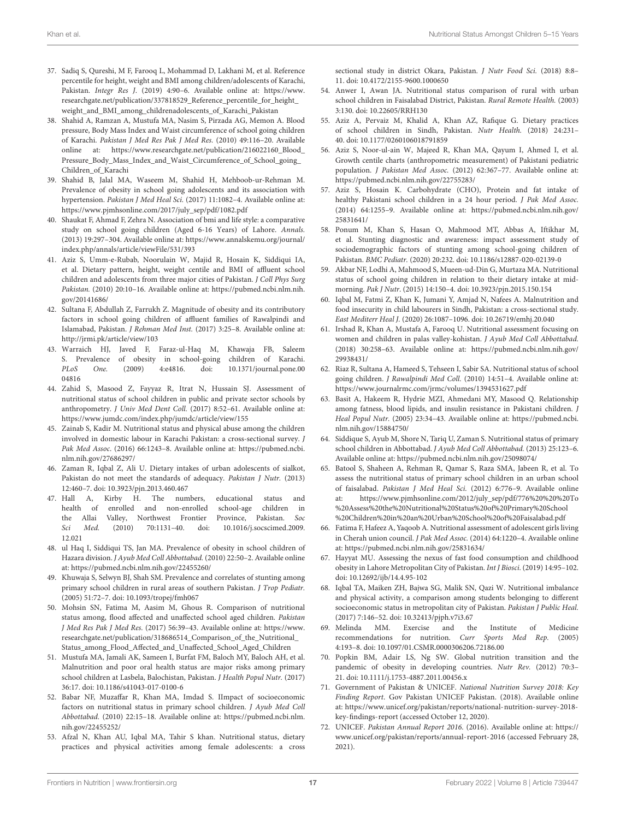- <span id="page-18-50"></span><span id="page-18-38"></span><span id="page-18-32"></span><span id="page-18-19"></span>37. Sadiq S, Qureshi, M F, Farooq L, Mohammad D, Lakhani M, et al. Reference percentile for height, weight and BMI among children/adolescents of Karachi, Pakistan. Integr Res J. (2019) 4:90–6. Available online at: [https://www.](https://www.researchgate.net/publication/337818529_Reference_percentile_for_height_weight_and_BMI_among_childrenadolescents_of_Karachi_Pakistan) [researchgate.net/publication/337818529\\_Reference\\_percentile\\_for\\_height\\_](https://www.researchgate.net/publication/337818529_Reference_percentile_for_height_weight_and_BMI_among_childrenadolescents_of_Karachi_Pakistan) [weight\\_and\\_BMI\\_among\\_childrenadolescents\\_of\\_Karachi\\_Pakistan](https://www.researchgate.net/publication/337818529_Reference_percentile_for_height_weight_and_BMI_among_childrenadolescents_of_Karachi_Pakistan)
- <span id="page-18-1"></span>38. Shahid A, Ramzan A, Mustufa MA, Nasim S, Pirzada AG, Memon A. Blood pressure, Body Mass Index and Waist circumference of school going children of Karachi. Pakistan J Med Res Pak J Med Res. (2010) 49:116–20. Available online at: https://www.researchgate.net/publication/216022160\_Blood [Pressure\\_Body\\_Mass\\_Index\\_and\\_Waist\\_Circumference\\_of\\_School\\_going\\_](https://www.researchgate.net/publication/216022160_Blood_Pressure_Body_Mass_Index_and_Waist_Circumference_of_School_going_Children_of_Karachi) [Children\\_of\\_Karachi](https://www.researchgate.net/publication/216022160_Blood_Pressure_Body_Mass_Index_and_Waist_Circumference_of_School_going_Children_of_Karachi)
- <span id="page-18-20"></span>39. Shahid B, Jalal MA, Waseem M, Shahid H, Mehboob-ur-Rehman M. Prevalence of obesity in school going adolescents and its association with hypertension. Pakistan J Med Heal Sci. (2017) 11:1082–4. Available online at: [https://www.pjmhsonline.com/2017/july\\_sep/pdf/1082.pdf](https://www.pjmhsonline.com/2017/july_sep/pdf/1082.pdf)
- <span id="page-18-26"></span>40. Shaukat F, Ahmad F, Zehra N. Association of bmi and life style: a comparative study on school going children (Aged 6-16 Years) of Lahore. Annals. (2013) 19:297–304. Available online at: [https://www.annalskemu.org/journal/](https://www.annalskemu.org/journal/index.php/annals/article/viewFile/531/393) [index.php/annals/article/viewFile/531/393](https://www.annalskemu.org/journal/index.php/annals/article/viewFile/531/393)
- <span id="page-18-31"></span>41. Aziz S, Umm-e-Rubab, Noorulain W, Majid R, Hosain K, Siddiqui IA, et al. Dietary pattern, height, weight centile and BMI of affluent school children and adolescents from three major cities of Pakistan. J Coll Phys Surg Pakistan. (2010) 20:10–16. Available online at: [https://pubmed.ncbi.nlm.nih.](https://pubmed.ncbi.nlm.nih.gov/20141686/) [gov/20141686/](https://pubmed.ncbi.nlm.nih.gov/20141686/)
- <span id="page-18-30"></span>42. Sultana F, Abdullah Z, Farrukh Z. Magnitude of obesity and its contributory factors in school going children of affluent families of Rawalpindi and Islamabad, Pakistan. J Rehman Med Inst. (2017) 3:25–8. Available online at: <http://jrmi.pk/article/view/103>
- <span id="page-18-21"></span>43. Warraich HJ, Javed F, Faraz-ul-Haq M, Khawaja FB, Saleem S. Prevalence of obesity in school-going children of Karachi. PLoS One. [\(2009\) 4:e4816. doi: 10.1371/journal.pone.00](https://doi.org/10.1371/journal.pone.0004816) 04816
- <span id="page-18-2"></span>44. Zahid S, Masood Z, Fayyaz R, Itrat N, Hussain SJ. Assessment of nutritional status of school children in public and private sector schools by anthropometry. J Univ Med Dent Coll. (2017) 8:52–61. Available online at: <https://www.jumdc.com/index.php/jumdc/article/view/155>
- <span id="page-18-3"></span>45. Zainab S, Kadir M. Nutritional status and physical abuse among the children involved in domestic labour in Karachi Pakistan: a cross-sectional survey. J Pak Med Assoc. (2016) 66:1243–8. Available online at: [https://pubmed.ncbi.](https://pubmed.ncbi.nlm.nih.gov/27686297/) [nlm.nih.gov/27686297/](https://pubmed.ncbi.nlm.nih.gov/27686297/)
- <span id="page-18-22"></span>46. Zaman R, Iqbal Z, Ali U. Dietary intakes of urban adolescents of sialkot, Pakistan do not meet the standards of adequacy. Pakistan J Nutr. (2013) 12:460–7. doi: [10.3923/pjn.2013.460.467](https://doi.org/10.3923/pjn.2013.460.467)
- <span id="page-18-4"></span>47. Hall A, Kirby H. The numbers, educational status and health of enrolled and non-enrolled school-age children in the Allai Valley, Northwest Frontier Province, Pakistan. Soc Sci Med. [\(2010\) 70:1131–40. doi: 10.1016/j.socscimed.2009.](https://doi.org/10.1016/j.socscimed.2009.12.021) 12.021
- <span id="page-18-29"></span>48. ul Haq I, Siddiqui TS, Jan MA. Prevalence of obesity in school children of Hazara division. J Ayub Med Coll Abbottabad. (2010) 22:50–2. Available online at:<https://pubmed.ncbi.nlm.nih.gov/22455260/>
- <span id="page-18-27"></span>49. Khuwaja S, Selwyn BJ, Shah SM. Prevalence and correlates of stunting among primary school children in rural areas of southern Pakistan. J Trop Pediatr. (2005) 51:72–7. doi: [10.1093/tropej/fmh067](https://doi.org/10.1093/tropej/fmh067)
- <span id="page-18-5"></span>50. Mohsin SN, Fatima M, Aasim M, Ghous R. Comparison of nutritional status among, flood affected and unaffected school aged children. Pakistan J Med Res Pak J Med Res. (2017) 56:39–43. Available online at: [https://www.](https://www.researchgate.net/publication/318686514_Comparison_of_the_Nutritional_Status_among_Flood_Affected_and_Unaffected_School_Aged_Children) [researchgate.net/publication/318686514\\_Comparison\\_of\\_the\\_Nutritional\\_](https://www.researchgate.net/publication/318686514_Comparison_of_the_Nutritional_Status_among_Flood_Affected_and_Unaffected_School_Aged_Children) Status among Flood Affected and Unaffected School Aged Children
- <span id="page-18-14"></span>51. Mustufa MA, Jamali AK, Sameen I, Burfat FM, Baloch MY, Baloch AH, et al. Malnutrition and poor oral health status are major risks among primary school children at Lasbela, Balochistan, Pakistan. J Health Popul Nutr. (2017) 36:17. doi: [10.1186/s41043-017-0100-6](https://doi.org/10.1186/s41043-017-0100-6)
- <span id="page-18-6"></span>52. Babar NF, Muzaffar R, Khan MA, Imdad S. IImpact of socioeconomic factors on nutritional status in primary school children. J Ayub Med Coll Abbottabad. (2010) 22:15–18. Available online at: [https://pubmed.ncbi.nlm.](https://pubmed.ncbi.nlm.nih.gov/22455252/) [nih.gov/22455252/](https://pubmed.ncbi.nlm.nih.gov/22455252/)
- <span id="page-18-23"></span>53. Afzal N, Khan AU, Iqbal MA, Tahir S khan. Nutritional status, dietary practices and physical activities among female adolescents: a cross

<span id="page-18-59"></span><span id="page-18-58"></span><span id="page-18-56"></span><span id="page-18-55"></span><span id="page-18-54"></span><span id="page-18-53"></span><span id="page-18-42"></span>sectional study in district Okara, Pakistan. J Nutr Food Sci. (2018) 8:8-11. doi: [10.4172/2155-9600.1000650](https://doi.org/10.4172/2155-9600.1000650)

- <span id="page-18-49"></span><span id="page-18-48"></span><span id="page-18-43"></span><span id="page-18-7"></span>54. Anwer I, Awan JA. Nutritional status comparison of rural with urban school children in Faisalabad District, Pakistan. Rural Remote Health. (2003) 3:130. doi: [10.22605/RRH130](https://doi.org/10.22605/RRH130)
- <span id="page-18-8"></span>55. Aziz A, Pervaiz M, Khalid A, Khan AZ, Rafique G. Dietary practices of school children in Sindh, Pakistan. Nutr Health. (2018) 24:231– 40. doi: [10.1177/0260106018791859](https://doi.org/10.1177/0260106018791859)
- <span id="page-18-15"></span>56. Aziz S, Noor-ul-ain W, Majeed R, Khan MA, Qayum I, Ahmed I, et al. Growth centile charts (anthropometric measurement) of Pakistani pediatric population. J Pakistan Med Assoc. (2012) 62:367–77. Available online at: <https://pubmed.ncbi.nlm.nih.gov/22755283/>
- <span id="page-18-24"></span>57. Aziz S, Hosain K. Carbohydrate (CHO), Protein and fat intake of healthy Pakistani school children in a 24 hour period. J Pak Med Assoc. (2014) 64:1255–9. Available online at: [https://pubmed.ncbi.nlm.nih.gov/](https://pubmed.ncbi.nlm.nih.gov/25831641/) [25831641/](https://pubmed.ncbi.nlm.nih.gov/25831641/)
- <span id="page-18-16"></span>58. Ponum M, Khan S, Hasan O, Mahmood MT, Abbas A, Iftikhar M, et al. Stunting diagnostic and awareness: impact assessment study of sociodemographic factors of stunting among school-going children of Pakistan. BMC Pediatr. (2020) 20:232. doi: [10.1186/s12887-020-02139-0](https://doi.org/10.1186/s12887-020-02139-0)
- <span id="page-18-9"></span>59. Akbar NF, Lodhi A, Mahmood S, Mueen-ud-Din G, Murtaza MA. Nutritional status of school going children in relation to their dietary intake at midmorning. Pak J Nutr. (2015) 14:150–4. doi: [10.3923/pjn.2015.150.154](https://doi.org/10.3923/pjn.2015.150.154)
- <span id="page-18-10"></span>60. Iqbal M, Fatmi Z, Khan K, Jumani Y, Amjad N, Nafees A. Malnutrition and food insecurity in child labourers in Sindh, Pakistan: a cross-sectional study. East Mediterr Heal J. (2020) 26:1087–1096. doi: [10.26719/emhj.20.040](https://doi.org/10.26719/emhj.20.040)
- <span id="page-18-57"></span><span id="page-18-52"></span><span id="page-18-51"></span><span id="page-18-47"></span><span id="page-18-46"></span><span id="page-18-45"></span><span id="page-18-44"></span><span id="page-18-41"></span><span id="page-18-40"></span><span id="page-18-39"></span><span id="page-18-37"></span><span id="page-18-36"></span><span id="page-18-35"></span><span id="page-18-34"></span><span id="page-18-33"></span><span id="page-18-17"></span>61. Irshad R, Khan A, Mustafa A, Farooq U. Nutritional assessment focusing on women and children in palas valley-kohistan. J Ayub Med Coll Abbottabad. (2018) 30:258–63. Available online at: [https://pubmed.ncbi.nlm.nih.gov/](https://pubmed.ncbi.nlm.nih.gov/29938431/) [29938431/](https://pubmed.ncbi.nlm.nih.gov/29938431/)
- <span id="page-18-11"></span>62. Riaz R, Sultana A, Hameed S, Tehseen I, Sabir SA. Nutritional status of school going children. J Rawalpindi Med Coll. (2010) 14:51–4. Available online at: <https://www.journalrmc.com/jrmc/volumes/1394531627.pdf>
- <span id="page-18-28"></span>63. Basit A, Hakeem R, Hydrie MZI, Ahmedani MY, Masood Q. Relationship among fatness, blood lipids, and insulin resistance in Pakistani children. J Heal Popul Nutr. (2005) 23:34–43. Available online at: [https://pubmed.ncbi.](https://pubmed.ncbi.nlm.nih.gov/15884750/) [nlm.nih.gov/15884750/](https://pubmed.ncbi.nlm.nih.gov/15884750/)
- <span id="page-18-12"></span>64. Siddique S, Ayub M, Shore N, Tariq U, Zaman S. Nutritional status of primary school children in Abbottabad. J Ayub Med Coll Abbottabad. (2013) 25:123–6. Available online at:<https://pubmed.ncbi.nlm.nih.gov/25098074/>
- <span id="page-18-18"></span>65. Batool S, Shaheen A, Rehman R, Qamar S, Raza SMA, Jabeen R, et al. To assess the nutritional status of primary school children in an urban school of faisalabad. Pakistan J Med Heal Sci. (2012) 6:776–9. Available online at: [https://www.pjmhsonline.com/2012/july\\_sep/pdf/776%20%20%20To](https://www.pjmhsonline.com/2012/july_sep/pdf/776%20%20%20To%20Assess%20the%20Nutritional%20Status%20of%20Primary%20School%20Children%20in%20an%20Urban%20School%20of%20Faisalabad.pdf) [%20Assess%20the%20Nutritional%20Status%20of%20Primary%20School](https://www.pjmhsonline.com/2012/july_sep/pdf/776%20%20%20To%20Assess%20the%20Nutritional%20Status%20of%20Primary%20School%20Children%20in%20an%20Urban%20School%20of%20Faisalabad.pdf) [%20Children%20in%20an%20Urban%20School%20of%20Faisalabad.pdf](https://www.pjmhsonline.com/2012/july_sep/pdf/776%20%20%20To%20Assess%20the%20Nutritional%20Status%20of%20Primary%20School%20Children%20in%20an%20Urban%20School%20of%20Faisalabad.pdf)
- <span id="page-18-25"></span>66. Fatima F, Hafeez A, Yaqoob A. Nutritional assessment of adolescent girls living in Cherah union council. J Pak Med Assoc. (2014) 64:1220–4. Available online at:<https://pubmed.ncbi.nlm.nih.gov/25831634/>
- <span id="page-18-13"></span>67. Hayyat MU. Assessing the nexus of fast food consumption and childhood obesity in Lahore Metropolitan City of Pakistan. Int J Biosci. (2019) 14:95–102. doi: [10.12692/ijb/14.4.95-102](https://doi.org/10.12692/ijb/14.4.95-102)
- <span id="page-18-0"></span>68. Iqbal TA, Maiken ZH, Bajwa SG, Malik SN, Qazi W. Nutritional imbalance and physical activity, a comparison among students belonging to different socioeconomic status in metropolitan city of Pakistan. Pakistan J Public Heal. (2017) 7:146–52. doi: [10.32413/pjph.v7i3.67](https://doi.org/10.32413/pjph.v7i3.67)
- <span id="page-18-60"></span>69. Melinda MM. Exercise and the Institute of Medicine recommendations for nutrition. Curr Sports Med Rep. (2005) 4:193–8. doi: [10.1097/01.CSMR.0000306206.72186.00](https://doi.org/10.1097/01.CSMR.0000306206.72186.00)
- <span id="page-18-61"></span>70. Popkin BM, Adair LS, Ng SW. Global nutrition transition and the pandemic of obesity in developing countries. Nutr Rev. (2012) 70:3– 21. doi: [10.1111/j.1753-4887.2011.00456.x](https://doi.org/10.1111/j.1753-4887.2011.00456.x)
- <span id="page-18-62"></span>71. Government of Pakistan & UNICEF. National Nutrition Survey 2018: Key Finding Report. Gov Pakistan UNICEF Pakistan. (2018). Available online at: [https://www.unicef.org/pakistan/reports/national-nutrition-survey-2018](https://www.unicef.org/pakistan/reports/national-nutrition-survey-2018-key-findings-report) [key-findings-report](https://www.unicef.org/pakistan/reports/national-nutrition-survey-2018-key-findings-report) (accessed October 12, 2020).
- <span id="page-18-63"></span>72. UNICEF. Pakistan Annual Report 2016. (2016). Available online at: [https://](https://www.unicef.org/pakistan/reports/annual-report-2016) [www.unicef.org/pakistan/reports/annual-report-2016](https://www.unicef.org/pakistan/reports/annual-report-2016) (accessed February 28, 2021).